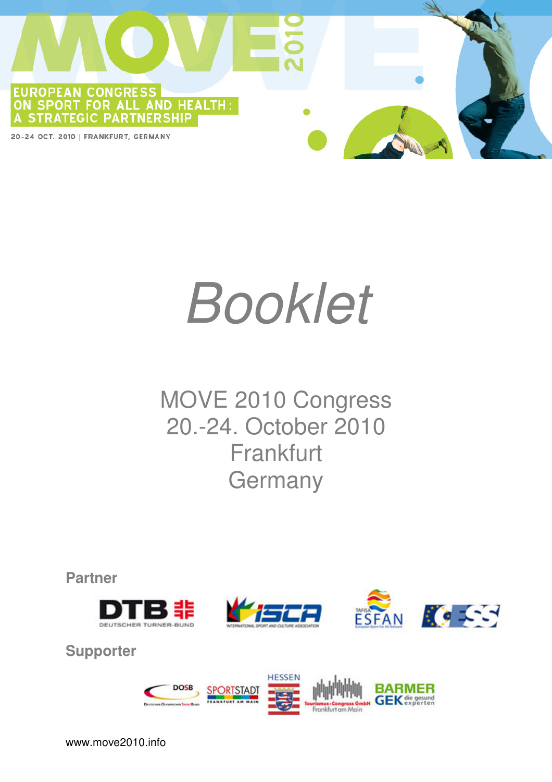

# Booklet

## MOVE 2010 Congress 20.-24. October 2010 Frankfurt **Germany**

**Partner** 







**Supporter** 

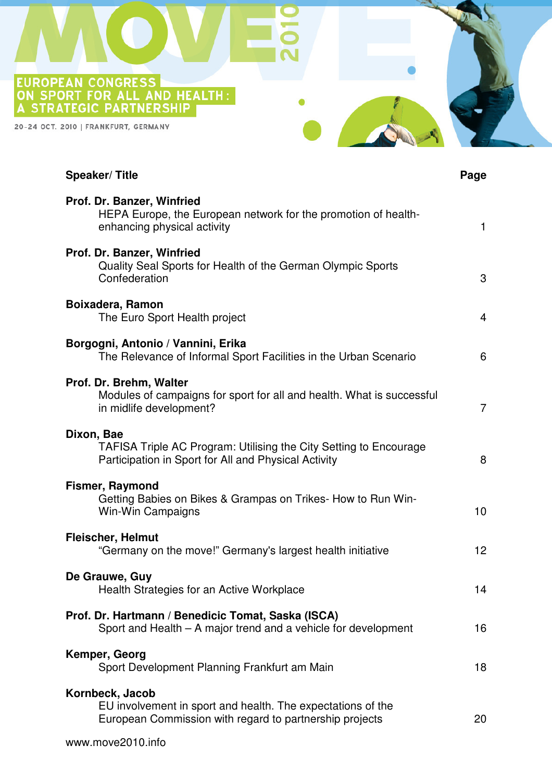EUROPEAN CONGRESS<br>ON SPORT FOR ALL AND HEALTH:<br>A STRATEGIC PARTNERSHIP

20-24 OCT. 2010 | FRANKFURT, GERMANY

| <b>Speaker/Title</b>                                                                                                                      | Page            |
|-------------------------------------------------------------------------------------------------------------------------------------------|-----------------|
| Prof. Dr. Banzer, Winfried<br>HEPA Europe, the European network for the promotion of health-<br>enhancing physical activity               | 1               |
| Prof. Dr. Banzer, Winfried<br>Quality Seal Sports for Health of the German Olympic Sports<br>Confederation                                | 3               |
| Boixadera, Ramon<br>The Euro Sport Health project                                                                                         | $\overline{4}$  |
| Borgogni, Antonio / Vannini, Erika<br>The Relevance of Informal Sport Facilities in the Urban Scenario                                    | 6               |
| Prof. Dr. Brehm, Walter<br>Modules of campaigns for sport for all and health. What is successful<br>in midlife development?               | $\overline{7}$  |
| Dixon, Bae<br>TAFISA Triple AC Program: Utilising the City Setting to Encourage<br>Participation in Sport for All and Physical Activity   | 8               |
| <b>Fismer, Raymond</b><br>Getting Babies on Bikes & Grampas on Trikes- How to Run Win-<br>Win-Win Campaigns                               | 10              |
| <b>Fleischer, Helmut</b><br>"Germany on the move!" Germany's largest health initiative                                                    | 12 <sub>2</sub> |
| De Grauwe, Guy<br>Health Strategies for an Active Workplace                                                                               | 14              |
| Prof. Dr. Hartmann / Benedicic Tomat, Saska (ISCA)<br>Sport and Health – A major trend and a vehicle for development                      | 16              |
| Kemper, Georg<br>Sport Development Planning Frankfurt am Main                                                                             | 18              |
| Kornbeck, Jacob<br>EU involvement in sport and health. The expectations of the<br>European Commission with regard to partnership projects | 20              |
|                                                                                                                                           |                 |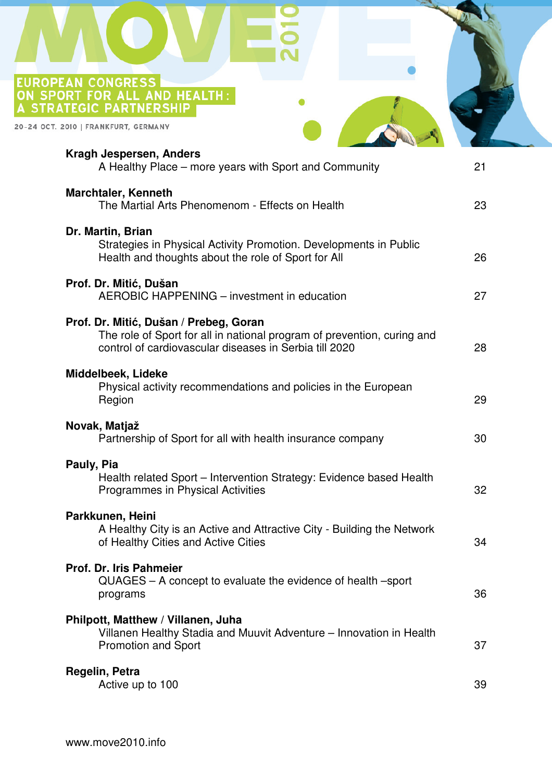EUROPEAN CONGRESS<br>ON SPORT FOR ALL AND HEALTH:<br>A STRATEGIC PARTNERSHIP

20-24 OCT. 2010 | FRANKFURT, GERMANY

| Kragh Jespersen, Anders<br>A Healthy Place – more years with Sport and Community                                                                                            | 21 |
|-----------------------------------------------------------------------------------------------------------------------------------------------------------------------------|----|
| <b>Marchtaler, Kenneth</b><br>The Martial Arts Phenomenom - Effects on Health                                                                                               | 23 |
| Dr. Martin, Brian<br>Strategies in Physical Activity Promotion. Developments in Public<br>Health and thoughts about the role of Sport for All                               | 26 |
| Prof. Dr. Mitić, Dušan<br>AEROBIC HAPPENING – investment in education                                                                                                       | 27 |
| Prof. Dr. Mitić, Dušan / Prebeg, Goran<br>The role of Sport for all in national program of prevention, curing and<br>control of cardiovascular diseases in Serbia till 2020 | 28 |
| Middelbeek, Lideke<br>Physical activity recommendations and policies in the European<br>Region                                                                              | 29 |
| Novak, Matjaž<br>Partnership of Sport for all with health insurance company                                                                                                 | 30 |
| Pauly, Pia<br>Health related Sport – Intervention Strategy: Evidence based Health<br><b>Programmes in Physical Activities</b>                                               | 32 |
| Parkkunen, Heini<br>A Healthy City is an Active and Attractive City - Building the Network<br>of Healthy Cities and Active Cities                                           | 34 |
| Prof. Dr. Iris Pahmeier<br>QUAGES – A concept to evaluate the evidence of health –sport<br>programs                                                                         | 36 |
| Philpott, Matthew / Villanen, Juha<br>Villanen Healthy Stadia and Muuvit Adventure - Innovation in Health<br><b>Promotion and Sport</b>                                     | 37 |
| Regelin, Petra<br>Active up to 100                                                                                                                                          | 39 |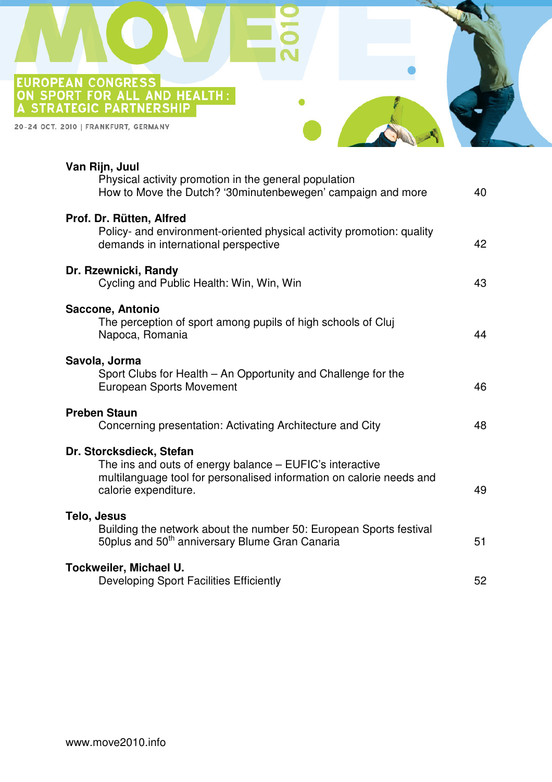EUROPEAN CONGRESS<br>ON SPORT FOR ALL AND HEALTH:<br>A STRATEGIC PARTNERSHIP

20-24 OCT. 2010 | FRANKFURT, GERMANY

| Van Rijn, Juul<br>Physical activity promotion in the general population<br>How to Move the Dutch? '30minutenbewegen' campaign and more                                               | 40 |
|--------------------------------------------------------------------------------------------------------------------------------------------------------------------------------------|----|
| Prof. Dr. Rütten, Alfred<br>Policy- and environment-oriented physical activity promotion: quality<br>demands in international perspective                                            | 42 |
| Dr. Rzewnicki, Randy<br>Cycling and Public Health: Win, Win, Win                                                                                                                     | 43 |
| Saccone, Antonio<br>The perception of sport among pupils of high schools of Cluj<br>Napoca, Romania                                                                                  | 44 |
| Savola, Jorma<br>Sport Clubs for Health - An Opportunity and Challenge for the<br><b>European Sports Movement</b>                                                                    | 46 |
| <b>Preben Staun</b><br>Concerning presentation: Activating Architecture and City                                                                                                     | 48 |
| Dr. Storcksdieck, Stefan<br>The ins and outs of energy balance – EUFIC's interactive<br>multilanguage tool for personalised information on calorie needs and<br>calorie expenditure. | 49 |
| Telo, Jesus<br>Building the network about the number 50: European Sports festival<br>50plus and 50 <sup>th</sup> anniversary Blume Gran Canaria                                      | 51 |
| Tockweiler, Michael U.<br><b>Developing Sport Facilities Efficiently</b>                                                                                                             | 52 |
|                                                                                                                                                                                      |    |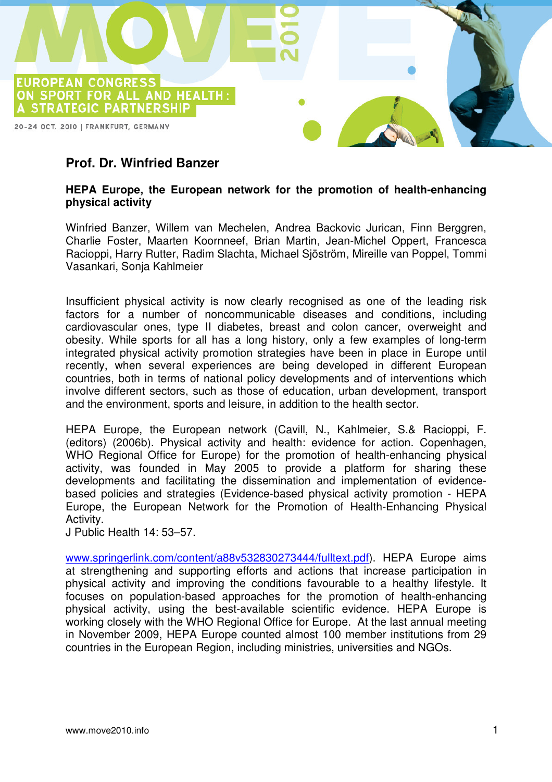

## **Prof. Dr. Winfried Banzer**

#### **HEPA Europe, the European network for the promotion of health-enhancing physical activity**

Winfried Banzer, Willem van Mechelen, Andrea Backovic Jurican, Finn Berggren, Charlie Foster, Maarten Koornneef, Brian Martin, Jean-Michel Oppert, Francesca Racioppi, Harry Rutter, Radim Slachta, Michael Sjöström, Mireille van Poppel, Tommi Vasankari, Sonja Kahlmeier

Insufficient physical activity is now clearly recognised as one of the leading risk factors for a number of noncommunicable diseases and conditions, including cardiovascular ones, type II diabetes, breast and colon cancer, overweight and obesity. While sports for all has a long history, only a few examples of long-term integrated physical activity promotion strategies have been in place in Europe until recently, when several experiences are being developed in different European countries, both in terms of national policy developments and of interventions which involve different sectors, such as those of education, urban development, transport and the environment, sports and leisure, in addition to the health sector.

HEPA Europe, the European network (Cavill, N., Kahlmeier, S.& Racioppi, F. (editors) (2006b). Physical activity and health: evidence for action. Copenhagen, WHO Regional Office for Europe) for the promotion of health-enhancing physical activity, was founded in May 2005 to provide a platform for sharing these developments and facilitating the dissemination and implementation of evidencebased policies and strategies (Evidence-based physical activity promotion - HEPA Europe, the European Network for the Promotion of Health-Enhancing Physical Activity.

J Public Health 14: 53–57.

www.springerlink.com/content/a88v532830273444/fulltext.pdf). HEPA Europe aims at strengthening and supporting efforts and actions that increase participation in physical activity and improving the conditions favourable to a healthy lifestyle. It focuses on population-based approaches for the promotion of health-enhancing physical activity, using the best-available scientific evidence. HEPA Europe is working closely with the WHO Regional Office for Europe. At the last annual meeting in November 2009, HEPA Europe counted almost 100 member institutions from 29 countries in the European Region, including ministries, universities and NGOs.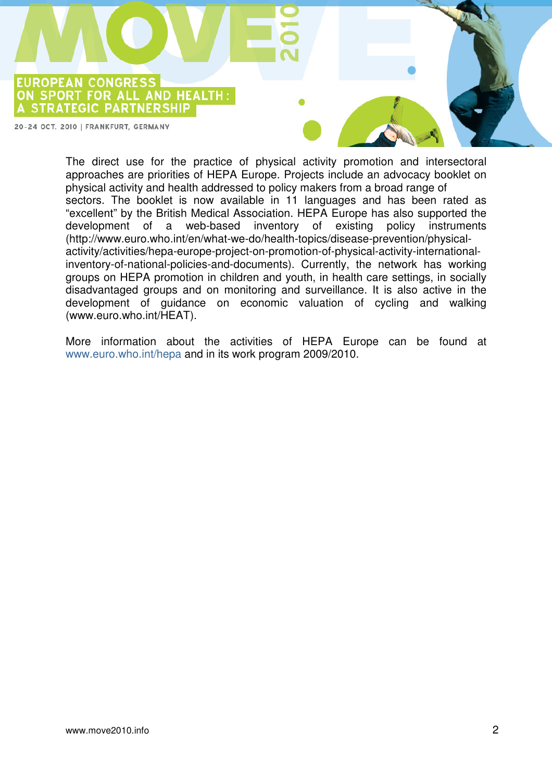**EUROPEAN CONGRESS** ON SPORT FOR ALL AND HEALTH: A STRATEGIC PARTNERSHIP

20-24 OCT. 2010 | FRANKFURT, GERMANY

The direct use for the practice of physical activity promotion and intersectoral approaches are priorities of HEPA Europe. Projects include an advocacy booklet on physical activity and health addressed to policy makers from a broad range of sectors. The booklet is now available in 11 languages and has been rated as "excellent" by the British Medical Association. HEPA Europe has also supported the development of a web-based inventory of existing policy instruments (http://www.euro.who.int/en/what-we-do/health-topics/disease-prevention/physicalactivity/activities/hepa-europe-project-on-promotion-of-physical-activity-internationalinventory-of-national-policies-and-documents). Currently, the network has working groups on HEPA promotion in children and youth, in health care settings, in socially disadvantaged groups and on monitoring and surveillance. It is also active in the development of guidance on economic valuation of cycling and walking (www.euro.who.int/HEAT).

More information about the activities of HEPA Europe can be found at www.euro.who.int/hepa and in its work program 2009/2010.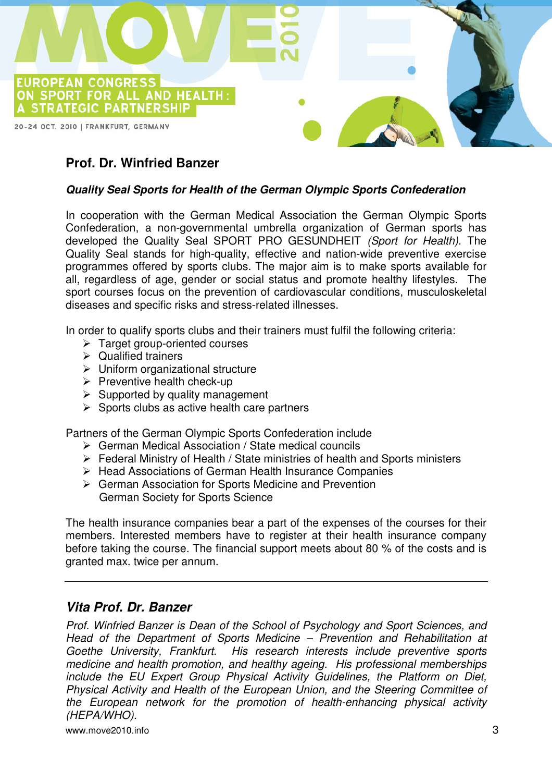

## **Prof. Dr. Winfried Banzer**

#### **Quality Seal Sports for Health of the German Olympic Sports Confederation**

In cooperation with the German Medical Association the German Olympic Sports Confederation, a non-governmental umbrella organization of German sports has developed the Quality Seal SPORT PRO GESUNDHEIT (Sport for Health). The Quality Seal stands for high-quality, effective and nation-wide preventive exercise programmes offered by sports clubs. The major aim is to make sports available for all, regardless of age, gender or social status and promote healthy lifestyles. The sport courses focus on the prevention of cardiovascular conditions, musculoskeletal diseases and specific risks and stress-related illnesses.

In order to qualify sports clubs and their trainers must fulfil the following criteria:

- $\triangleright$  Target group-oriented courses
- $\triangleright$  Qualified trainers
- $\triangleright$  Uniform organizational structure
- $\triangleright$  Preventive health check-up
- $\triangleright$  Supported by quality management
- $\triangleright$  Sports clubs as active health care partners

Partners of the German Olympic Sports Confederation include

- German Medical Association / State medical councils
- Federal Ministry of Health / State ministries of health and Sports ministers
- ▶ Head Associations of German Health Insurance Companies
- ▶ German Association for Sports Medicine and Prevention German Society for Sports Science

The health insurance companies bear a part of the expenses of the courses for their members. Interested members have to register at their health insurance company before taking the course. The financial support meets about 80 % of the costs and is granted max. twice per annum.

#### **Vita Prof. Dr. Banzer**

Prof. Winfried Banzer is Dean of the School of Psychology and Sport Sciences, and Head of the Department of Sports Medicine – Prevention and Rehabilitation at Goethe University, Frankfurt. His research interests include preventive sports medicine and health promotion, and healthy ageing. His professional memberships include the EU Expert Group Physical Activity Guidelines, the Platform on Diet, Physical Activity and Health of the European Union, and the Steering Committee of the European network for the promotion of health-enhancing physical activity (HEPA/WHO).

www.move2010.info 3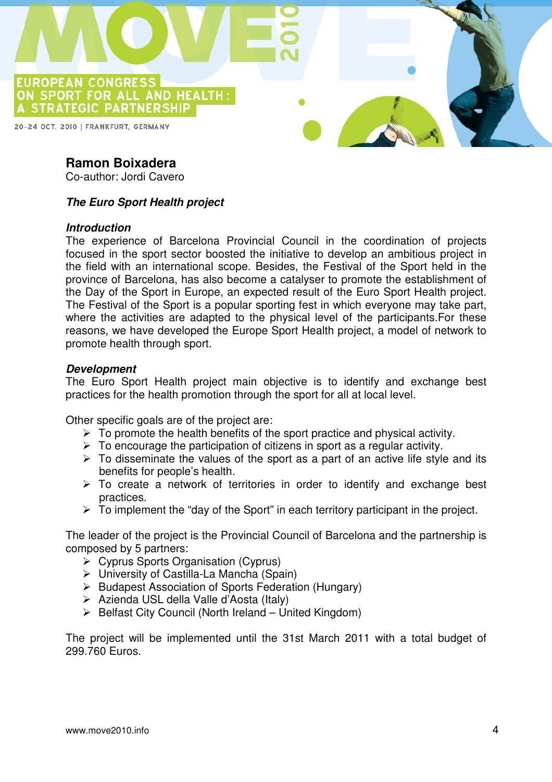

## **Ramon Boixadera**

Co-author: Jordi Cavero

#### **The Euro Sport Health project**

#### **Introduction**

The experience of Barcelona Provincial Council in the coordination of projects focused in the sport sector boosted the initiative to develop an ambitious project in the field with an international scope. Besides, the Festival of the Sport held in the province of Barcelona, has also become a catalyser to promote the establishment of the Day of the Sport in Europe, an expected result of the Euro Sport Health project. The Festival of the Sport is a popular sporting fest in which everyone may take part, where the activities are adapted to the physical level of the participants. For these reasons, we have developed the Europe Sport Health project, a model of network to promote health through sport.

#### **Development**

The Euro Sport Health project main objective is to identify and exchange best practices for the health promotion through the sport for all at local level.

Other specific goals are of the project are:

- $\triangleright$  To promote the health benefits of the sport practice and physical activity.
- $\triangleright$  To encourage the participation of citizens in sport as a regular activity.
- $\triangleright$  To disseminate the values of the sport as a part of an active life style and its benefits for people's health.
- $\triangleright$  To create a network of territories in order to identify and exchange best practices.
- $\triangleright$  To implement the "day of the Sport" in each territory participant in the project.

The leader of the project is the Provincial Council of Barcelona and the partnership is composed by 5 partners:

- Cyprus Sports Organisation (Cyprus)
- University of Castilla-La Mancha (Spain)
- ▶ Budapest Association of Sports Federation (Hungary)
- Azienda USL della Valle d'Aosta (Italy)
- $\triangleright$  Belfast City Council (North Ireland United Kingdom)

The project will be implemented until the 31st March 2011 with a total budget of 299.760 Euros.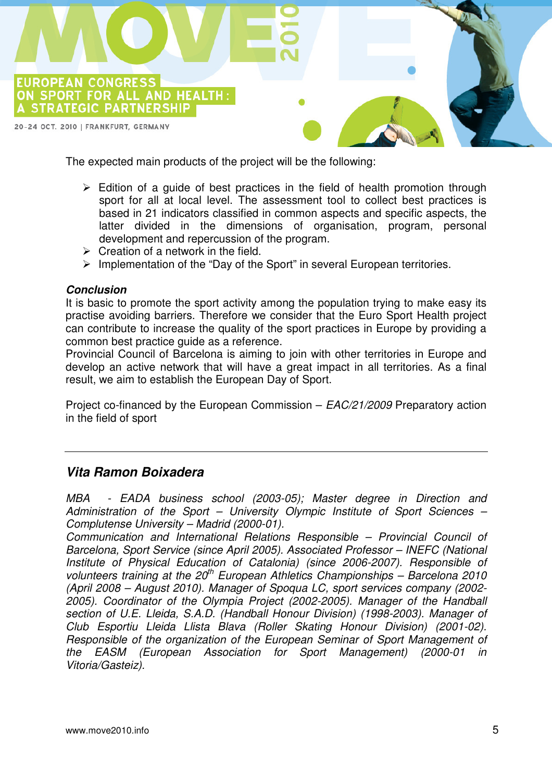

The expected main products of the project will be the following:

- $\triangleright$  Edition of a guide of best practices in the field of health promotion through sport for all at local level. The assessment tool to collect best practices is based in 21 indicators classified in common aspects and specific aspects, the latter divided in the dimensions of organisation, program, personal development and repercussion of the program.
- $\triangleright$  Creation of a network in the field.
- $\triangleright$  Implementation of the "Day of the Sport" in several European territories.

#### **Conclusion**

It is basic to promote the sport activity among the population trying to make easy its practise avoiding barriers. Therefore we consider that the Euro Sport Health project can contribute to increase the quality of the sport practices in Europe by providing a common best practice guide as a reference.

Provincial Council of Barcelona is aiming to join with other territories in Europe and develop an active network that will have a great impact in all territories. As a final result, we aim to establish the European Day of Sport.

Project co-financed by the European Commission – EAC/21/2009 Preparatory action in the field of sport

## **Vita Ramon Boixadera**

MBA - EADA business school (2003-05); Master degree in Direction and Administration of the Sport – University Olympic Institute of Sport Sciences – Complutense University – Madrid (2000-01).

Communication and International Relations Responsible – Provincial Council of Barcelona, Sport Service (since April 2005). Associated Professor – INEFC (National Institute of Physical Education of Catalonia) (since 2006-2007). Responsible of volunteers training at the  $20<sup>th</sup>$  European Athletics Championships – Barcelona 2010 (April 2008 – August 2010). Manager of Spoqua LC, sport services company (2002- 2005). Coordinator of the Olympia Project (2002-2005). Manager of the Handball section of U.E. Lleida, S.A.D. (Handball Honour Division) (1998-2003). Manager of Club Esportiu Lleida Llista Blava (Roller Skating Honour Division) (2001-02). Responsible of the organization of the European Seminar of Sport Management of the EASM (European Association for Sport Management) (2000-01 in Vitoria/Gasteiz).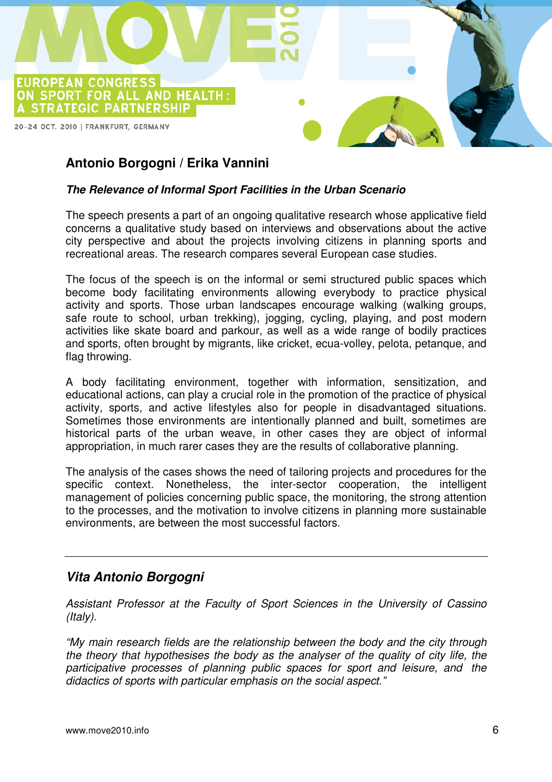

## **Antonio Borgogni / Erika Vannini**

#### **The Relevance of Informal Sport Facilities in the Urban Scenario**

The speech presents a part of an ongoing qualitative research whose applicative field concerns a qualitative study based on interviews and observations about the active city perspective and about the projects involving citizens in planning sports and recreational areas. The research compares several European case studies.

The focus of the speech is on the informal or semi structured public spaces which become body facilitating environments allowing everybody to practice physical activity and sports. Those urban landscapes encourage walking (walking groups, safe route to school, urban trekking), jogging, cycling, playing, and post modern activities like skate board and parkour, as well as a wide range of bodily practices and sports, often brought by migrants, like cricket, ecua-volley, pelota, petanque, and flag throwing.

A body facilitating environment, together with information, sensitization, and educational actions, can play a crucial role in the promotion of the practice of physical activity, sports, and active lifestyles also for people in disadvantaged situations. Sometimes those environments are intentionally planned and built, sometimes are historical parts of the urban weave, in other cases they are object of informal appropriation, in much rarer cases they are the results of collaborative planning.

The analysis of the cases shows the need of tailoring projects and procedures for the specific context. Nonetheless, the inter-sector cooperation, the intelligent management of policies concerning public space, the monitoring, the strong attention to the processes, and the motivation to involve citizens in planning more sustainable environments, are between the most successful factors.

#### **Vita Antonio Borgogni**

Assistant Professor at the Faculty of Sport Sciences in the University of Cassino (Italy).

"My main research fields are the relationship between the body and the city through the theory that hypothesises the body as the analyser of the quality of city life, the participative processes of planning public spaces for sport and leisure, and the didactics of sports with particular emphasis on the social aspect."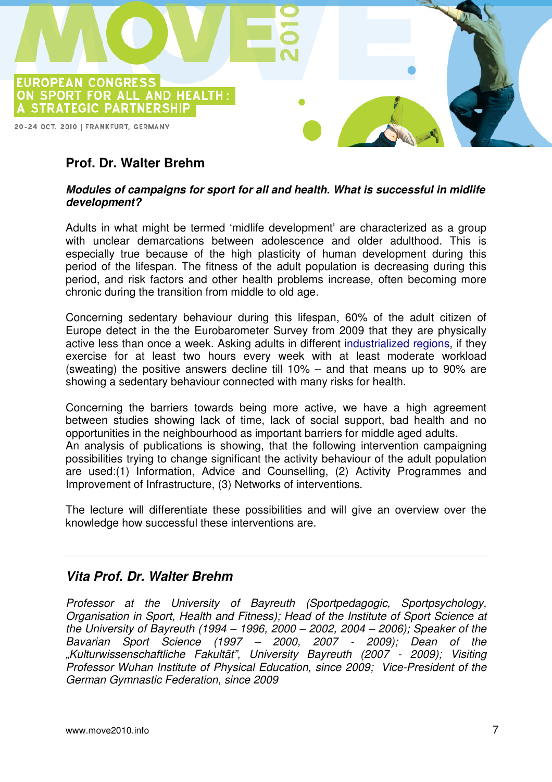

## **Prof. Dr. Walter Brehm**

#### **Modules of campaigns for sport for all and health. What is successful in midlife development?**

Adults in what might be termed 'midlife development' are characterized as a group with unclear demarcations between adolescence and older adulthood. This is especially true because of the high plasticity of human development during this period of the lifespan. The fitness of the adult population is decreasing during this period, and risk factors and other health problems increase, often becoming more chronic during the transition from middle to old age.

Concerning sedentary behaviour during this lifespan, 60% of the adult citizen of Europe detect in the the Eurobarometer Survey from 2009 that they are physically active less than once a week. Asking adults in different industrialized regions, if they exercise for at least two hours every week with at least moderate workload (sweating) the positive answers decline till 10% – and that means up to 90% are showing a sedentary behaviour connected with many risks for health.

Concerning the barriers towards being more active, we have a high agreement between studies showing lack of time, lack of social support, bad health and no opportunities in the neighbourhood as important barriers for middle aged adults. An analysis of publications is showing, that the following intervention campaigning possibilities trying to change significant the activity behaviour of the adult population are used:(1) Information, Advice and Counselling, (2) Activity Programmes and Improvement of Infrastructure, (3) Networks of interventions.

The lecture will differentiate these possibilities and will give an overview over the knowledge how successful these interventions are.

#### **Vita Prof. Dr. Walter Brehm**

Professor at the University of Bayreuth (Sportpedagogic, Sportpsychology, Organisation in Sport, Health and Fitness); Head of the Institute of Sport Science at the University of Bayreuth (1994 – 1996, 2000 – 2002, 2004 – 2006); Speaker of the Bavarian Sport Science (1997 – 2000, 2007 - 2009); Dean of the "Kulturwissenschaftliche Fakultät", University Bayreuth (2007 - 2009); Visiting Professor Wuhan Institute of Physical Education, since 2009; Vice-President of the German Gymnastic Federation, since 2009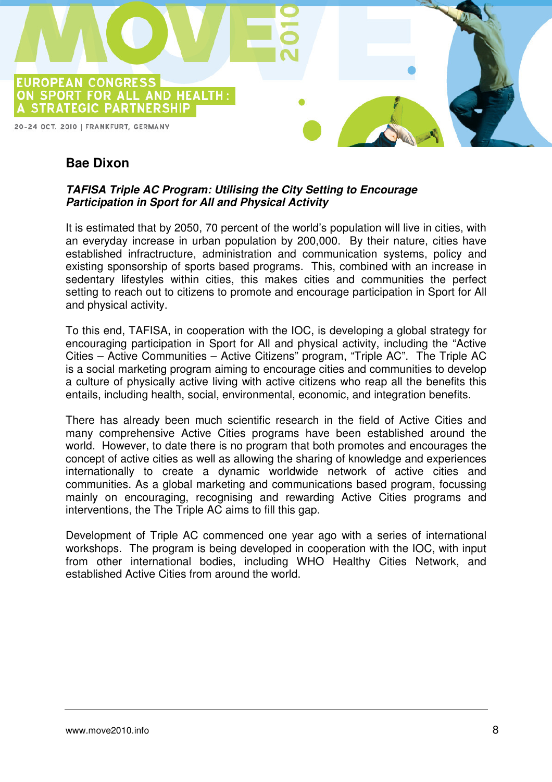

## **Bae Dixon**

#### **TAFISA Triple AC Program: Utilising the City Setting to Encourage Participation in Sport for All and Physical Activity**

It is estimated that by 2050, 70 percent of the world's population will live in cities, with an everyday increase in urban population by 200,000. By their nature, cities have established infractructure, administration and communication systems, policy and existing sponsorship of sports based programs. This, combined with an increase in sedentary lifestyles within cities, this makes cities and communities the perfect setting to reach out to citizens to promote and encourage participation in Sport for All and physical activity.

To this end, TAFISA, in cooperation with the IOC, is developing a global strategy for encouraging participation in Sport for All and physical activity, including the "Active Cities – Active Communities – Active Citizens" program, "Triple AC". The Triple AC is a social marketing program aiming to encourage cities and communities to develop a culture of physically active living with active citizens who reap all the benefits this entails, including health, social, environmental, economic, and integration benefits.

There has already been much scientific research in the field of Active Cities and many comprehensive Active Cities programs have been established around the world. However, to date there is no program that both promotes and encourages the concept of active cities as well as allowing the sharing of knowledge and experiences internationally to create a dynamic worldwide network of active cities and communities. As a global marketing and communications based program, focussing mainly on encouraging, recognising and rewarding Active Cities programs and interventions, the The Triple AC aims to fill this gap.

Development of Triple AC commenced one year ago with a series of international workshops. The program is being developed in cooperation with the IOC, with input from other international bodies, including WHO Healthy Cities Network, and established Active Cities from around the world.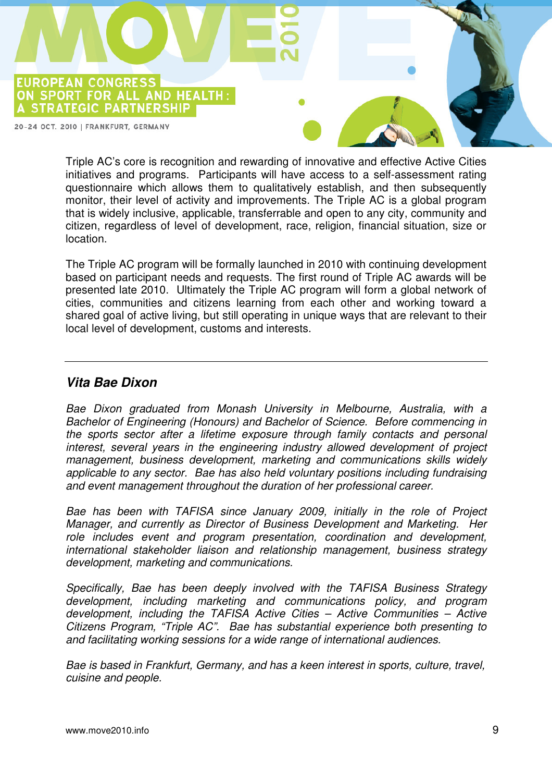**EUROPEAN CONGRESS** ON SPORT FOR ALL AND HEALTH: A STRATEGIC PARTNERSHIP

20-24 OCT. 2010 | FRANKFURT, GERMANY

Triple AC's core is recognition and rewarding of innovative and effective Active Cities initiatives and programs. Participants will have access to a self-assessment rating questionnaire which allows them to qualitatively establish, and then subsequently monitor, their level of activity and improvements. The Triple AC is a global program that is widely inclusive, applicable, transferrable and open to any city, community and citizen, regardless of level of development, race, religion, financial situation, size or location.

The Triple AC program will be formally launched in 2010 with continuing development based on participant needs and requests. The first round of Triple AC awards will be presented late 2010. Ultimately the Triple AC program will form a global network of cities, communities and citizens learning from each other and working toward a shared goal of active living, but still operating in unique ways that are relevant to their local level of development, customs and interests.

#### **Vita Bae Dixon**

Bae Dixon graduated from Monash University in Melbourne, Australia, with a Bachelor of Engineering (Honours) and Bachelor of Science. Before commencing in the sports sector after a lifetime exposure through family contacts and personal interest, several years in the engineering industry allowed development of project management, business development, marketing and communications skills widely applicable to any sector. Bae has also held voluntary positions including fundraising and event management throughout the duration of her professional career.

Bae has been with TAFISA since January 2009, initially in the role of Project Manager, and currently as Director of Business Development and Marketing. Her role includes event and program presentation, coordination and development, international stakeholder liaison and relationship management, business strategy development, marketing and communications.

Specifically, Bae has been deeply involved with the TAFISA Business Strategy development, including marketing and communications policy, and program development, including the TAFISA Active Cities – Active Communities – Active Citizens Program, "Triple AC". Bae has substantial experience both presenting to and facilitating working sessions for a wide range of international audiences.

Bae is based in Frankfurt, Germany, and has a keen interest in sports, culture, travel, cuisine and people.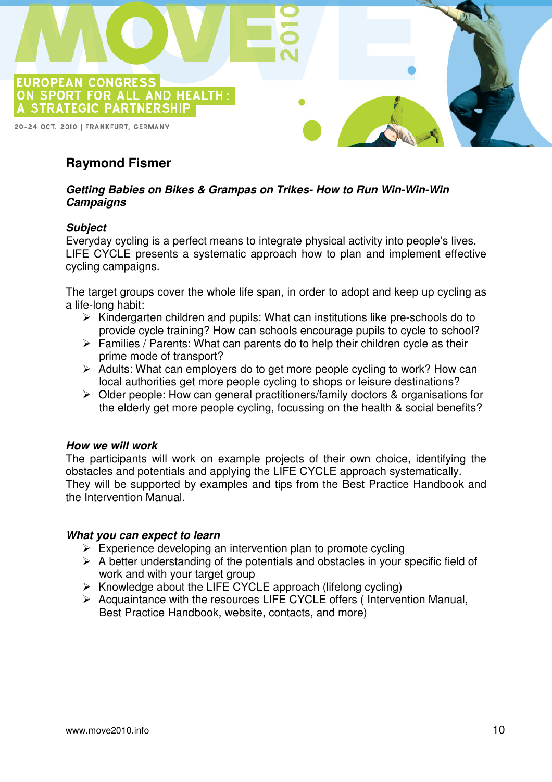

## **Raymond Fismer**

#### **Getting Babies on Bikes & Grampas on Trikes- How to Run Win-Win-Win Campaigns**

#### **Subject**

Everyday cycling is a perfect means to integrate physical activity into people's lives. LIFE CYCLE presents a systematic approach how to plan and implement effective cycling campaigns.

The target groups cover the whole life span, in order to adopt and keep up cycling as a life-long habit:

- $\triangleright$  Kindergarten children and pupils: What can institutions like pre-schools do to provide cycle training? How can schools encourage pupils to cycle to school?
- $\triangleright$  Families / Parents: What can parents do to help their children cycle as their prime mode of transport?
- $\triangleright$  Adults: What can employers do to get more people cycling to work? How can local authorities get more people cycling to shops or leisure destinations?
- Older people: How can general practitioners/family doctors & organisations for the elderly get more people cycling, focussing on the health & social benefits?

#### **How we will work**

The participants will work on example projects of their own choice, identifying the obstacles and potentials and applying the LIFE CYCLE approach systematically. They will be supported by examples and tips from the Best Practice Handbook and the Intervention Manual.

#### **What you can expect to learn**

- $\triangleright$  Experience developing an intervention plan to promote cycling
- $\triangleright$  A better understanding of the potentials and obstacles in your specific field of work and with your target group
- $\triangleright$  Knowledge about the LIFE CYCLE approach (lifelong cycling)
- $\triangleright$  Acquaintance with the resources LIFE CYCLE offers (Intervention Manual, Best Practice Handbook, website, contacts, and more)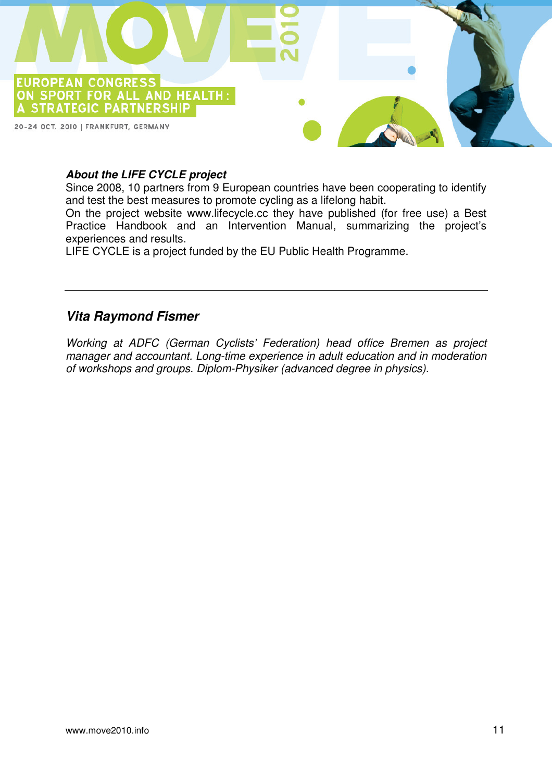

#### **About the LIFE CYCLE project**

Since 2008, 10 partners from 9 European countries have been cooperating to identify and test the best measures to promote cycling as a lifelong habit.

On the project website www.lifecycle.cc they have published (for free use) a Best Practice Handbook and an Intervention Manual, summarizing the project's experiences and results.

LIFE CYCLE is a project funded by the EU Public Health Programme.

#### **Vita Raymond Fismer**

Working at ADFC (German Cyclists' Federation) head office Bremen as project manager and accountant. Long-time experience in adult education and in moderation of workshops and groups. Diplom-Physiker (advanced degree in physics).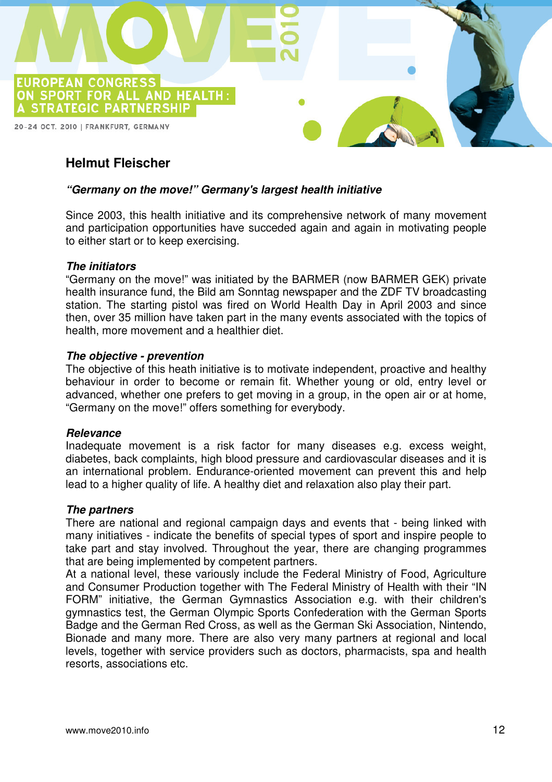

## **Helmut Fleischer**

#### **"Germany on the move!" Germany's largest health initiative**

Since 2003, this health initiative and its comprehensive network of many movement and participation opportunities have succeded again and again in motivating people to either start or to keep exercising.

#### **The initiators**

"Germany on the move!" was initiated by the BARMER (now BARMER GEK) private health insurance fund, the Bild am Sonntag newspaper and the ZDF TV broadcasting station. The starting pistol was fired on World Health Day in April 2003 and since then, over 35 million have taken part in the many events associated with the topics of health, more movement and a healthier diet.

#### **The objective - prevention**

The objective of this heath initiative is to motivate independent, proactive and healthy behaviour in order to become or remain fit. Whether young or old, entry level or advanced, whether one prefers to get moving in a group, in the open air or at home, "Germany on the move!" offers something for everybody.

#### **Relevance**

Inadequate movement is a risk factor for many diseases e.g. excess weight, diabetes, back complaints, high blood pressure and cardiovascular diseases and it is an international problem. Endurance-oriented movement can prevent this and help lead to a higher quality of life. A healthy diet and relaxation also play their part.

#### **The partners**

There are national and regional campaign days and events that - being linked with many initiatives - indicate the benefits of special types of sport and inspire people to take part and stay involved. Throughout the year, there are changing programmes that are being implemented by competent partners.

At a national level, these variously include the Federal Ministry of Food, Agriculture and Consumer Production together with The Federal Ministry of Health with their "IN FORM" initiative, the German Gymnastics Association e.g. with their children's gymnastics test, the German Olympic Sports Confederation with the German Sports Badge and the German Red Cross, as well as the German Ski Association, Nintendo, Bionade and many more. There are also very many partners at regional and local levels, together with service providers such as doctors, pharmacists, spa and health resorts, associations etc.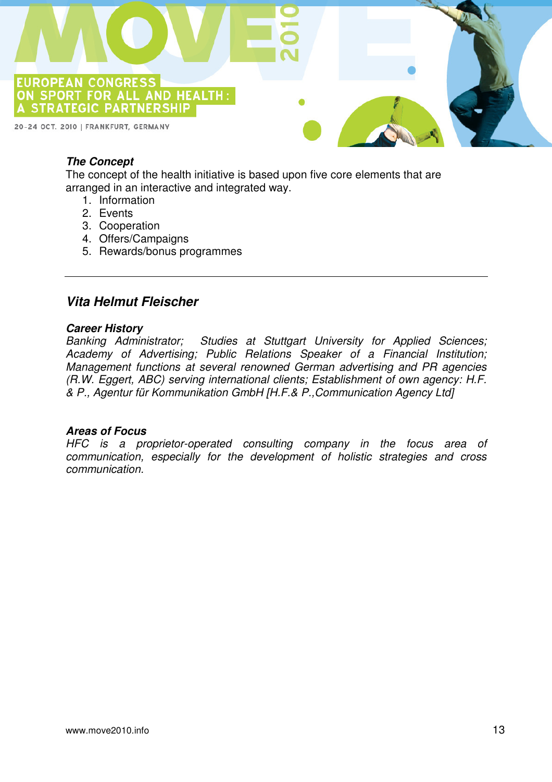

#### **The Concept**

The concept of the health initiative is based upon five core elements that are arranged in an interactive and integrated way.

- 1. Information
- 2. Events
- 3. Cooperation
- 4. Offers/Campaigns
- 5. Rewards/bonus programmes

#### **Vita Helmut Fleischer**

#### **Career History**

Banking Administrator; Studies at Stuttgart University for Applied Sciences; Academy of Advertising; Public Relations Speaker of a Financial Institution; Management functions at several renowned German advertising and PR agencies (R.W. Eggert, ABC) serving international clients; Establishment of own agency: H.F. & P., Agentur für Kommunikation GmbH [H.F.& P.,Communication Agency Ltd]

#### **Areas of Focus**

HFC is a proprietor-operated consulting company in the focus area of communication, especially for the development of holistic strategies and cross communication.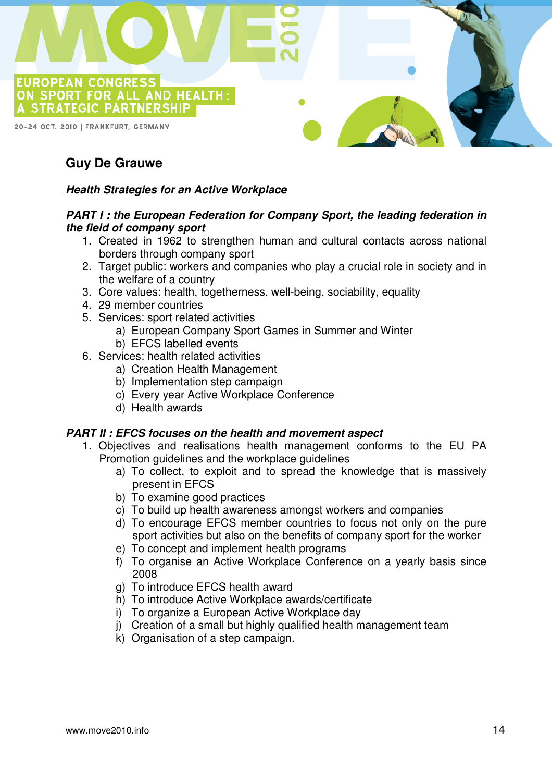

## **Guy De Grauwe**

#### **Health Strategies for an Active Workplace**

#### **PART I : the European Federation for Company Sport, the leading federation in the field of company sport**

- 1. Created in 1962 to strengthen human and cultural contacts across national borders through company sport
- 2. Target public: workers and companies who play a crucial role in society and in the welfare of a country
- 3. Core values: health, togetherness, well-being, sociability, equality
- 4. 29 member countries
- 5. Services: sport related activities
	- a) European Company Sport Games in Summer and Winter
	- b) EFCS labelled events
- 6. Services: health related activities
	- a) Creation Health Management
	- b) Implementation step campaign
	- c) Every year Active Workplace Conference
	- d) Health awards

#### **PART II : EFCS focuses on the health and movement aspect**

- 1. Objectives and realisations health management conforms to the EU PA Promotion guidelines and the workplace guidelines
	- a) To collect, to exploit and to spread the knowledge that is massively present in EFCS
	- b) To examine good practices
	- c) To build up health awareness amongst workers and companies
	- d) To encourage EFCS member countries to focus not only on the pure sport activities but also on the benefits of company sport for the worker
	- e) To concept and implement health programs
	- f) To organise an Active Workplace Conference on a yearly basis since 2008
	- g) To introduce EFCS health award
	- h) To introduce Active Workplace awards/certificate
	- i) To organize a European Active Workplace day
	- j) Creation of a small but highly qualified health management team
	- k) Organisation of a step campaign.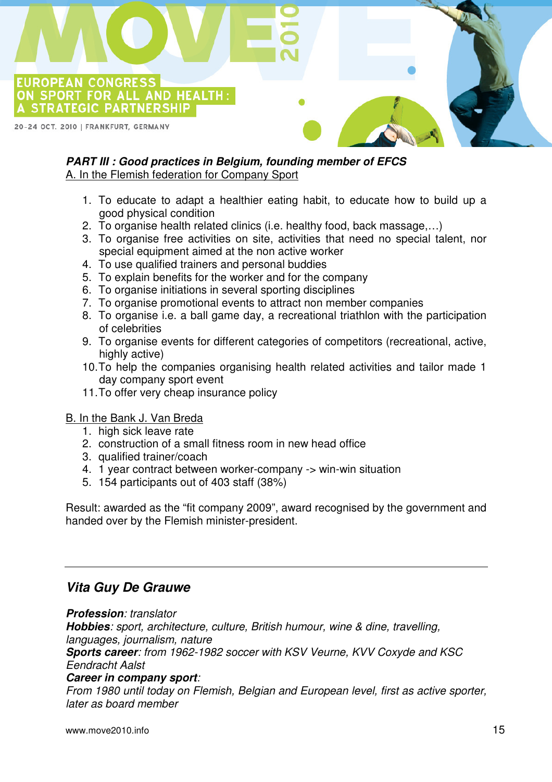A STRATEGIC PARTNERSHIP 20-24 OCT. 2010 | FRANKFURT, GERMANY

**EUROPEAN CONGRESS**<br>ON SPORT FOR ALL AND HEALTH:

## **PART III : Good practices in Belgium, founding member of EFCS**

A. In the Flemish federation for Company Sport

- 1. To educate to adapt a healthier eating habit, to educate how to build up a good physical condition
- 2. To organise health related clinics (i.e. healthy food, back massage,…)
- 3. To organise free activities on site, activities that need no special talent, nor special equipment aimed at the non active worker
- 4. To use qualified trainers and personal buddies
- 5. To explain benefits for the worker and for the company
- 6. To organise initiations in several sporting disciplines
- 7. To organise promotional events to attract non member companies
- 8. To organise i.e. a ball game day, a recreational triathlon with the participation of celebrities
- 9. To organise events for different categories of competitors (recreational, active, highly active)
- 10. To help the companies organising health related activities and tailor made 1 day company sport event
- 11. To offer very cheap insurance policy

#### B. In the Bank J. Van Breda

- 1. high sick leave rate
- 2. construction of a small fitness room in new head office
- 3. qualified trainer/coach
- 4. 1 year contract between worker-company -> win-win situation
- 5. 154 participants out of 403 staff (38%)

Result: awarded as the "fit company 2009", award recognised by the government and handed over by the Flemish minister-president.

## **Vita Guy De Grauwe**

**Profession**: translator **Hobbies**: sport, architecture, culture, British humour, wine & dine, travelling, languages, journalism, nature **Sports career**: from 1962-1982 soccer with KSV Veurne, KVV Coxyde and KSC Eendracht Aalst **Career in company sport**:

From 1980 until today on Flemish, Belgian and European level, first as active sporter, later as board member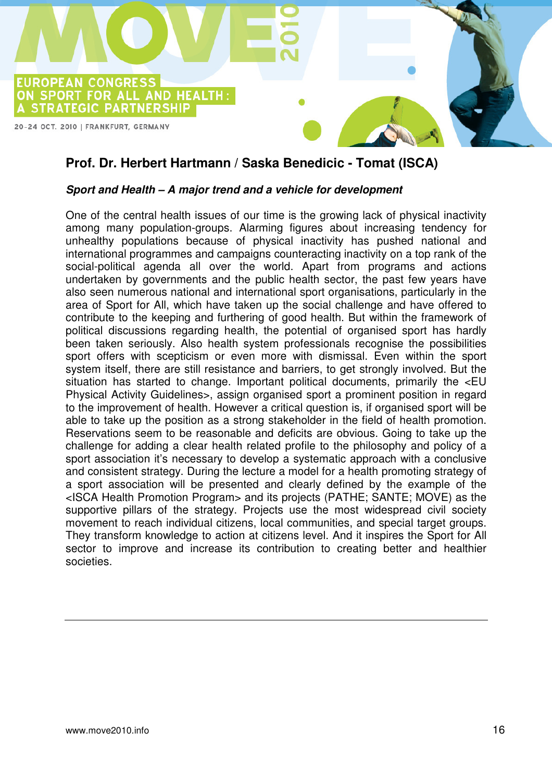

## **Prof. Dr. Herbert Hartmann / Saska Benedicic - Tomat (ISCA)**

#### **Sport and Health – A major trend and a vehicle for development**

One of the central health issues of our time is the growing lack of physical inactivity among many population-groups. Alarming figures about increasing tendency for unhealthy populations because of physical inactivity has pushed national and international programmes and campaigns counteracting inactivity on a top rank of the social-political agenda all over the world. Apart from programs and actions undertaken by governments and the public health sector, the past few years have also seen numerous national and international sport organisations, particularly in the area of Sport for All, which have taken up the social challenge and have offered to contribute to the keeping and furthering of good health. But within the framework of political discussions regarding health, the potential of organised sport has hardly been taken seriously. Also health system professionals recognise the possibilities sport offers with scepticism or even more with dismissal. Even within the sport system itself, there are still resistance and barriers, to get strongly involved. But the situation has started to change. Important political documents, primarily the <EU Physical Activity Guidelines>, assign organised sport a prominent position in regard to the improvement of health. However a critical question is, if organised sport will be able to take up the position as a strong stakeholder in the field of health promotion. Reservations seem to be reasonable and deficits are obvious. Going to take up the challenge for adding a clear health related profile to the philosophy and policy of a sport association it's necessary to develop a systematic approach with a conclusive and consistent strategy. During the lecture a model for a health promoting strategy of a sport association will be presented and clearly defined by the example of the <ISCA Health Promotion Program> and its projects (PATHE; SANTE; MOVE) as the supportive pillars of the strategy. Projects use the most widespread civil society movement to reach individual citizens, local communities, and special target groups. They transform knowledge to action at citizens level. And it inspires the Sport for All sector to improve and increase its contribution to creating better and healthier societies.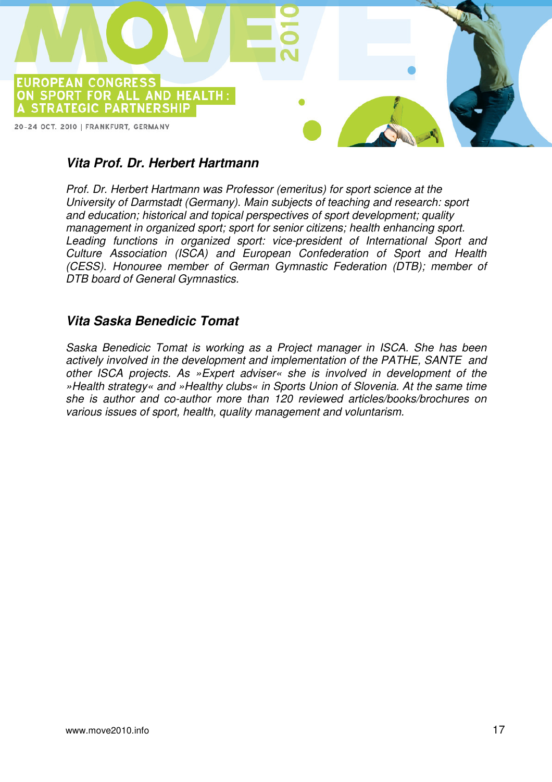

## **Vita Prof. Dr. Herbert Hartmann**

Prof. Dr. Herbert Hartmann was Professor (emeritus) for sport science at the University of Darmstadt (Germany). Main subjects of teaching and research: sport and education; historical and topical perspectives of sport development; quality management in organized sport; sport for senior citizens; health enhancing sport. Leading functions in organized sport: vice-president of International Sport and Culture Association (ISCA) and European Confederation of Sport and Health (CESS). Honouree member of German Gymnastic Federation (DTB); member of DTB board of General Gymnastics.

## **Vita Saska Benedicic Tomat**

Saska Benedicic Tomat is working as a Project manager in ISCA. She has been actively involved in the development and implementation of the PATHE, SANTE and other ISCA projects. As »Expert adviser« she is involved in development of the »Health strategy« and »Healthy clubs« in Sports Union of Slovenia. At the same time she is author and co-author more than 120 reviewed articles/books/brochures on various issues of sport, health, quality management and voluntarism.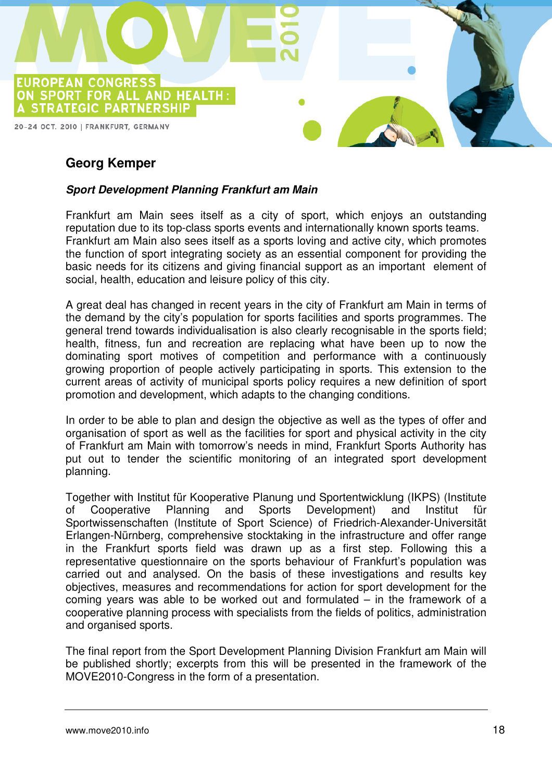

## **Georg Kemper**

#### **Sport Development Planning Frankfurt am Main**

Frankfurt am Main sees itself as a city of sport, which enjoys an outstanding reputation due to its top-class sports events and internationally known sports teams. Frankfurt am Main also sees itself as a sports loving and active city, which promotes the function of sport integrating society as an essential component for providing the basic needs for its citizens and giving financial support as an important element of social, health, education and leisure policy of this city.

A great deal has changed in recent years in the city of Frankfurt am Main in terms of the demand by the city's population for sports facilities and sports programmes. The general trend towards individualisation is also clearly recognisable in the sports field; health, fitness, fun and recreation are replacing what have been up to now the dominating sport motives of competition and performance with a continuously growing proportion of people actively participating in sports. This extension to the current areas of activity of municipal sports policy requires a new definition of sport promotion and development, which adapts to the changing conditions.

In order to be able to plan and design the objective as well as the types of offer and organisation of sport as well as the facilities for sport and physical activity in the city of Frankfurt am Main with tomorrow's needs in mind, Frankfurt Sports Authority has put out to tender the scientific monitoring of an integrated sport development planning.

Together with Institut für Kooperative Planung und Sportentwicklung (IKPS) (Institute of Cooperative Planning and Sports Development) and Institut für Sportwissenschaften (Institute of Sport Science) of Friedrich-Alexander-Universität Erlangen-Nürnberg, comprehensive stocktaking in the infrastructure and offer range in the Frankfurt sports field was drawn up as a first step. Following this a representative questionnaire on the sports behaviour of Frankfurt's population was carried out and analysed. On the basis of these investigations and results key objectives, measures and recommendations for action for sport development for the coming years was able to be worked out and formulated – in the framework of a cooperative planning process with specialists from the fields of politics, administration and organised sports.

The final report from the Sport Development Planning Division Frankfurt am Main will be published shortly; excerpts from this will be presented in the framework of the MOVE2010-Congress in the form of a presentation.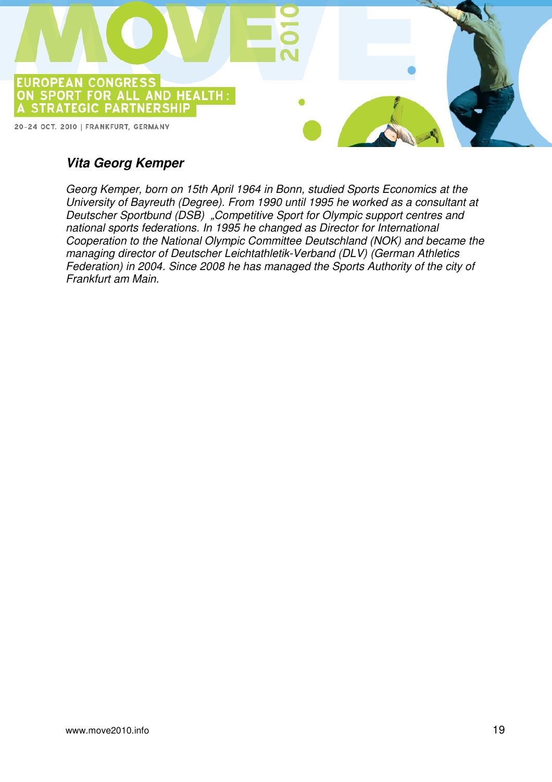

## **Vita Georg Kemper**

Georg Kemper, born on 15th April 1964 in Bonn, studied Sports Economics at the University of Bayreuth (Degree). From 1990 until 1995 he worked as a consultant at Deutscher Sportbund (DSB) "Competitive Sport for Olympic support centres and national sports federations. In 1995 he changed as Director for International Cooperation to the National Olympic Committee Deutschland (NOK) and became the managing director of Deutscher Leichtathletik-Verband (DLV) (German Athletics Federation) in 2004. Since 2008 he has managed the Sports Authority of the city of Frankfurt am Main.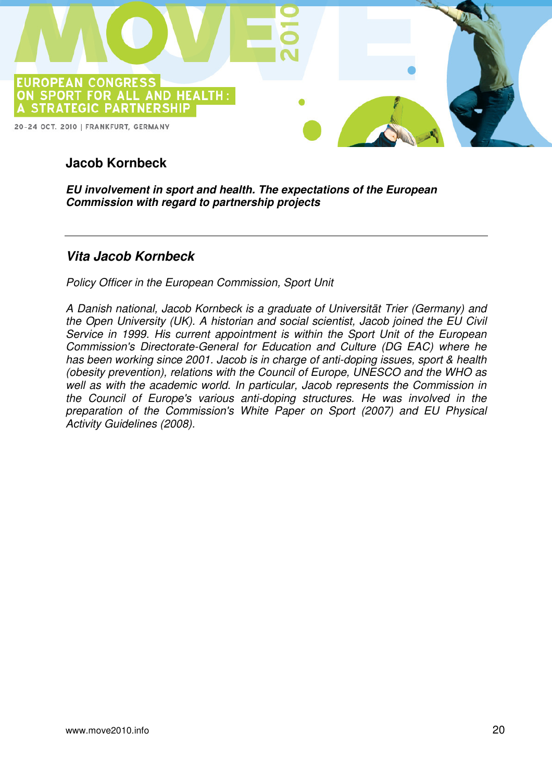

## **Jacob Kornbeck**

**EU involvement in sport and health. The expectations of the European Commission with regard to partnership projects** 

## **Vita Jacob Kornbeck**

Policy Officer in the European Commission, Sport Unit

A Danish national, Jacob Kornbeck is a graduate of Universität Trier (Germany) and the Open University (UK). A historian and social scientist, Jacob joined the EU Civil Service in 1999. His current appointment is within the Sport Unit of the European Commission's Directorate-General for Education and Culture (DG EAC) where he has been working since 2001. Jacob is in charge of anti-doping issues, sport & health (obesity prevention), relations with the Council of Europe, UNESCO and the WHO as well as with the academic world. In particular, Jacob represents the Commission in the Council of Europe's various anti-doping structures. He was involved in the preparation of the Commission's White Paper on Sport (2007) and EU Physical Activity Guidelines (2008).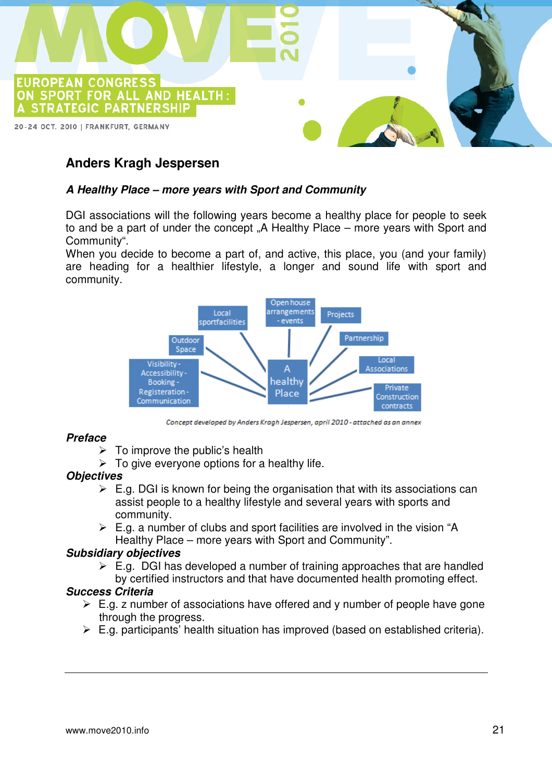

## **Anders Kragh Jespersen**

#### **A Healthy Place – more years with Sport and Community**

DGI associations will the following years become a healthy place for people to seek to and be a part of under the concept "A Healthy Place – more years with Sport and Community".

When you decide to become a part of, and active, this place, you (and your family) are heading for a healthier lifestyle, a longer and sound life with sport and community.



Concept developed by Anders Kragh Jespersen, april 2010 - attached as an annex

#### **Preface**

- $\triangleright$  To improve the public's health
- $\triangleright$  To give everyone options for a healthy life.

#### **Objectives**

- $\triangleright$  E.g. DGI is known for being the organisation that with its associations can assist people to a healthy lifestyle and several years with sports and community.
- $\triangleright$  E.g. a number of clubs and sport facilities are involved in the vision "A Healthy Place – more years with Sport and Community".

#### **Subsidiary objectives**

 $\triangleright$  E.g. DGI has developed a number of training approaches that are handled by certified instructors and that have documented health promoting effect.

#### **Success Criteria**

- $\triangleright$  E.g. z number of associations have offered and y number of people have gone through the progress.
- $\triangleright$  E.g. participants' health situation has improved (based on established criteria).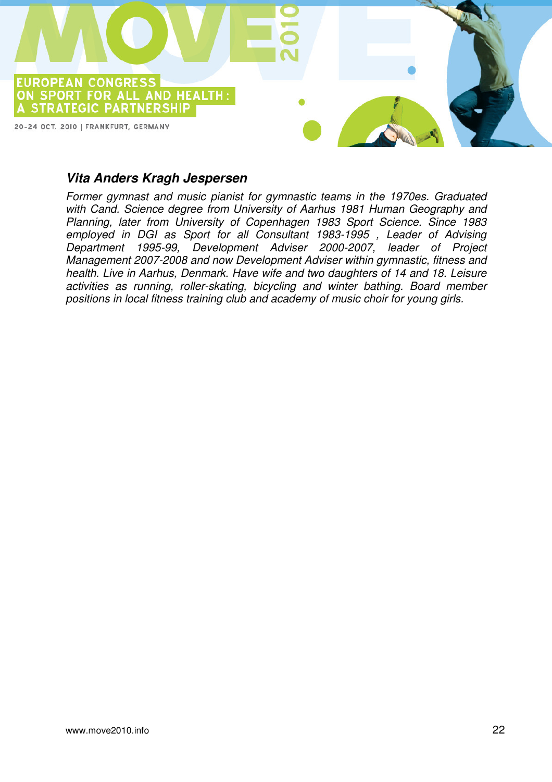

#### **Vita Anders Kragh Jespersen**

Former gymnast and music pianist for gymnastic teams in the 1970es. Graduated with Cand. Science degree from University of Aarhus 1981 Human Geography and Planning, later from University of Copenhagen 1983 Sport Science. Since 1983 employed in DGI as Sport for all Consultant 1983-1995 , Leader of Advising Department 1995-99, Development Adviser 2000-2007, leader of Project Management 2007-2008 and now Development Adviser within gymnastic, fitness and health. Live in Aarhus, Denmark. Have wife and two daughters of 14 and 18. Leisure activities as running, roller-skating, bicycling and winter bathing. Board member positions in local fitness training club and academy of music choir for young girls.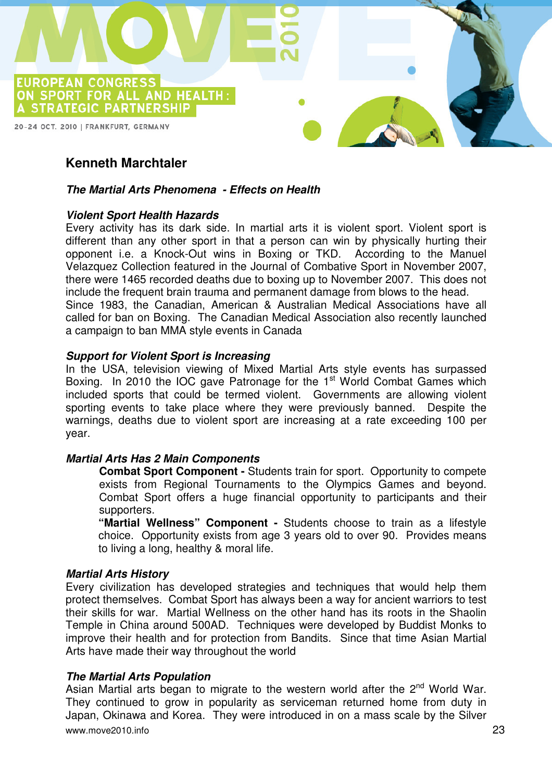

## **Kenneth Marchtaler**

#### **The Martial Arts Phenomena - Effects on Health**

#### **Violent Sport Health Hazards**

Every activity has its dark side. In martial arts it is violent sport. Violent sport is different than any other sport in that a person can win by physically hurting their opponent i.e. a Knock-Out wins in Boxing or TKD. According to the Manuel Velazquez Collection featured in the Journal of Combative Sport in November 2007, there were 1465 recorded deaths due to boxing up to November 2007. This does not include the frequent brain trauma and permanent damage from blows to the head. Since 1983, the Canadian, American & Australian Medical Associations have all called for ban on Boxing. The Canadian Medical Association also recently launched a campaign to ban MMA style events in Canada

#### **Support for Violent Sport is Increasing**

In the USA, television viewing of Mixed Martial Arts style events has surpassed Boxing. In 2010 the IOC gave Patronage for the  $1<sup>st</sup>$  World Combat Games which included sports that could be termed violent. Governments are allowing violent sporting events to take place where they were previously banned. Despite the warnings, deaths due to violent sport are increasing at a rate exceeding 100 per year.

#### **Martial Arts Has 2 Main Components**

**Combat Sport Component -** Students train for sport. Opportunity to compete exists from Regional Tournaments to the Olympics Games and beyond. Combat Sport offers a huge financial opportunity to participants and their supporters.

**"Martial Wellness" Component -** Students choose to train as a lifestyle choice. Opportunity exists from age 3 years old to over 90. Provides means to living a long, healthy & moral life.

#### **Martial Arts History**

Every civilization has developed strategies and techniques that would help them protect themselves. Combat Sport has always been a way for ancient warriors to test their skills for war. Martial Wellness on the other hand has its roots in the Shaolin Temple in China around 500AD. Techniques were developed by Buddist Monks to improve their health and for protection from Bandits. Since that time Asian Martial Arts have made their way throughout the world

#### **The Martial Arts Population**

www.move2010.info 23 Asian Martial arts began to migrate to the western world after the  $2<sup>nd</sup>$  World War. They continued to grow in popularity as serviceman returned home from duty in Japan, Okinawa and Korea. They were introduced in on a mass scale by the Silver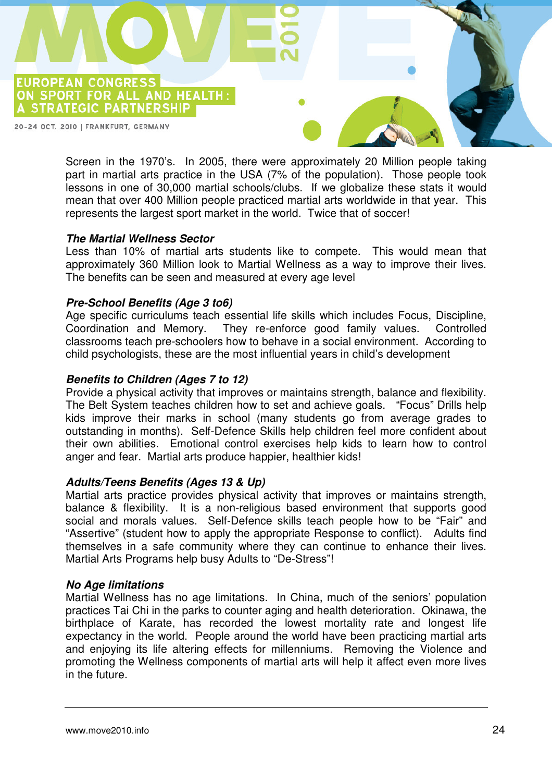

Screen in the 1970's. In 2005, there were approximately 20 Million people taking part in martial arts practice in the USA (7% of the population). Those people took lessons in one of 30,000 martial schools/clubs. If we globalize these stats it would mean that over 400 Million people practiced martial arts worldwide in that year. This represents the largest sport market in the world. Twice that of soccer!

#### **The Martial Wellness Sector**

Less than 10% of martial arts students like to compete. This would mean that approximately 360 Million look to Martial Wellness as a way to improve their lives. The benefits can be seen and measured at every age level

#### **Pre-School Benefits (Age 3 to6)**

Age specific curriculums teach essential life skills which includes Focus, Discipline, Coordination and Memory. They re-enforce good family values. Controlled classrooms teach pre-schoolers how to behave in a social environment. According to child psychologists, these are the most influential years in child's development

#### **Benefits to Children (Ages 7 to 12)**

Provide a physical activity that improves or maintains strength, balance and flexibility. The Belt System teaches children how to set and achieve goals. "Focus" Drills help kids improve their marks in school (many students go from average grades to outstanding in months). Self-Defence Skills help children feel more confident about their own abilities. Emotional control exercises help kids to learn how to control anger and fear. Martial arts produce happier, healthier kids!

#### **Adults/Teens Benefits (Ages 13 & Up)**

Martial arts practice provides physical activity that improves or maintains strength, balance & flexibility. It is a non-religious based environment that supports good social and morals values. Self-Defence skills teach people how to be "Fair" and "Assertive" (student how to apply the appropriate Response to conflict). Adults find themselves in a safe community where they can continue to enhance their lives. Martial Arts Programs help busy Adults to "De-Stress"!

#### **No Age limitations**

Martial Wellness has no age limitations. In China, much of the seniors' population practices Tai Chi in the parks to counter aging and health deterioration. Okinawa, the birthplace of Karate, has recorded the lowest mortality rate and longest life expectancy in the world. People around the world have been practicing martial arts and enjoying its life altering effects for millenniums. Removing the Violence and promoting the Wellness components of martial arts will help it affect even more lives in the future.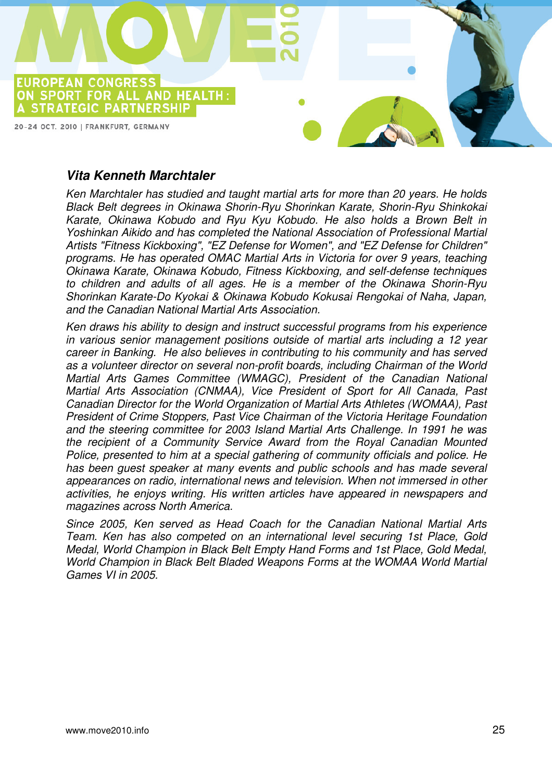

## **Vita Kenneth Marchtaler**

Ken Marchtaler has studied and taught martial arts for more than 20 years. He holds Black Belt degrees in Okinawa Shorin-Ryu Shorinkan Karate, Shorin-Ryu Shinkokai Karate, Okinawa Kobudo and Ryu Kyu Kobudo. He also holds a Brown Belt in Yoshinkan Aikido and has completed the National Association of Professional Martial Artists "Fitness Kickboxing", "EZ Defense for Women", and "EZ Defense for Children" programs. He has operated OMAC Martial Arts in Victoria for over 9 years, teaching Okinawa Karate, Okinawa Kobudo, Fitness Kickboxing, and self-defense techniques to children and adults of all ages. He is a member of the Okinawa Shorin-Ryu Shorinkan Karate-Do Kyokai & Okinawa Kobudo Kokusai Rengokai of Naha, Japan, and the Canadian National Martial Arts Association.

Ken draws his ability to design and instruct successful programs from his experience in various senior management positions outside of martial arts including a 12 year career in Banking. He also believes in contributing to his community and has served as a volunteer director on several non-profit boards, including Chairman of the World Martial Arts Games Committee (WMAGC), President of the Canadian National Martial Arts Association (CNMAA), Vice President of Sport for All Canada, Past Canadian Director for the World Organization of Martial Arts Athletes (WOMAA), Past President of Crime Stoppers, Past Vice Chairman of the Victoria Heritage Foundation and the steering committee for 2003 Island Martial Arts Challenge. In 1991 he was the recipient of a Community Service Award from the Royal Canadian Mounted Police, presented to him at a special gathering of community officials and police. He has been guest speaker at many events and public schools and has made several appearances on radio, international news and television. When not immersed in other activities, he enjoys writing. His written articles have appeared in newspapers and magazines across North America.

Since 2005, Ken served as Head Coach for the Canadian National Martial Arts Team. Ken has also competed on an international level securing 1st Place, Gold Medal, World Champion in Black Belt Empty Hand Forms and 1st Place, Gold Medal, World Champion in Black Belt Bladed Weapons Forms at the WOMAA World Martial Games VI in 2005.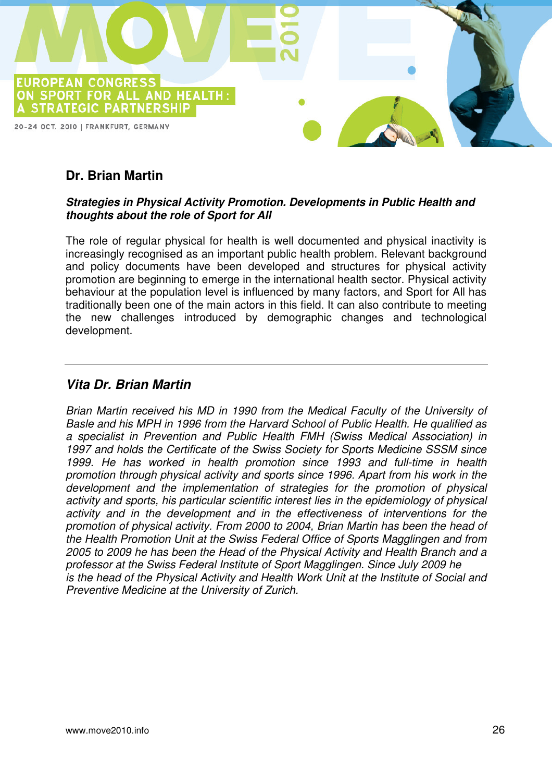

## **Dr. Brian Martin**

#### **Strategies in Physical Activity Promotion. Developments in Public Health and thoughts about the role of Sport for All**

The role of regular physical for health is well documented and physical inactivity is increasingly recognised as an important public health problem. Relevant background and policy documents have been developed and structures for physical activity promotion are beginning to emerge in the international health sector. Physical activity behaviour at the population level is influenced by many factors, and Sport for All has traditionally been one of the main actors in this field. It can also contribute to meeting the new challenges introduced by demographic changes and technological development.

#### **Vita Dr. Brian Martin**

Brian Martin received his MD in 1990 from the Medical Faculty of the University of Basle and his MPH in 1996 from the Harvard School of Public Health. He qualified as a specialist in Prevention and Public Health FMH (Swiss Medical Association) in 1997 and holds the Certificate of the Swiss Society for Sports Medicine SSSM since 1999. He has worked in health promotion since 1993 and full-time in health promotion through physical activity and sports since 1996. Apart from his work in the development and the implementation of strategies for the promotion of physical activity and sports, his particular scientific interest lies in the epidemiology of physical activity and in the development and in the effectiveness of interventions for the promotion of physical activity. From 2000 to 2004, Brian Martin has been the head of the Health Promotion Unit at the Swiss Federal Office of Sports Magglingen and from 2005 to 2009 he has been the Head of the Physical Activity and Health Branch and a professor at the Swiss Federal Institute of Sport Magglingen. Since July 2009 he is the head of the Physical Activity and Health Work Unit at the Institute of Social and Preventive Medicine at the University of Zurich.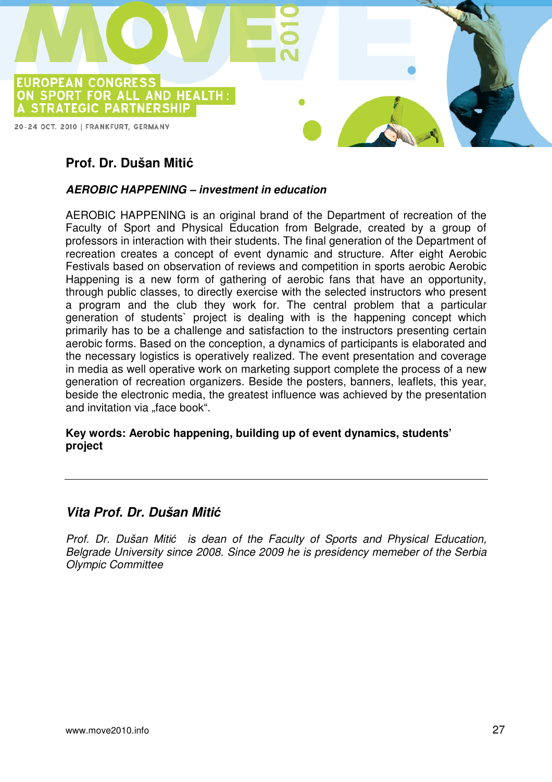

## **Prof. Dr. Dušan Miti**ć

#### **AEROBIC HAPPENING – investment in education**

AEROBIC HAPPENING is an original brand of the Department of recreation of the Faculty of Sport and Physical Education from Belgrade, created by a group of professors in interaction with their students. The final generation of the Department of recreation creates a concept of event dynamic and structure. After eight Aerobic Festivals based on observation of reviews and competition in sports aerobic Aerobic Happening is a new form of gathering of aerobic fans that have an opportunity, through public classes, to directly exercise with the selected instructors who present a program and the club they work for. The central problem that a particular generation of students` project is dealing with is the happening concept which primarily has to be a challenge and satisfaction to the instructors presenting certain aerobic forms. Based on the conception, a dynamics of participants is elaborated and the necessary logistics is operatively realized. The event presentation and coverage in media as well operative work on marketing support complete the process of a new generation of recreation organizers. Beside the posters, banners, leaflets, this year, beside the electronic media, the greatest influence was achieved by the presentation and invitation via "face book".

#### **Key words: Aerobic happening, building up of event dynamics, students' project**

#### **Vita Prof. Dr. Dušan Miti**ć

Prof. Dr. Dušan Mitić is dean of the Faculty of Sports and Physical Education, Belgrade University since 2008. Since 2009 he is presidency memeber of the Serbia Olympic Committee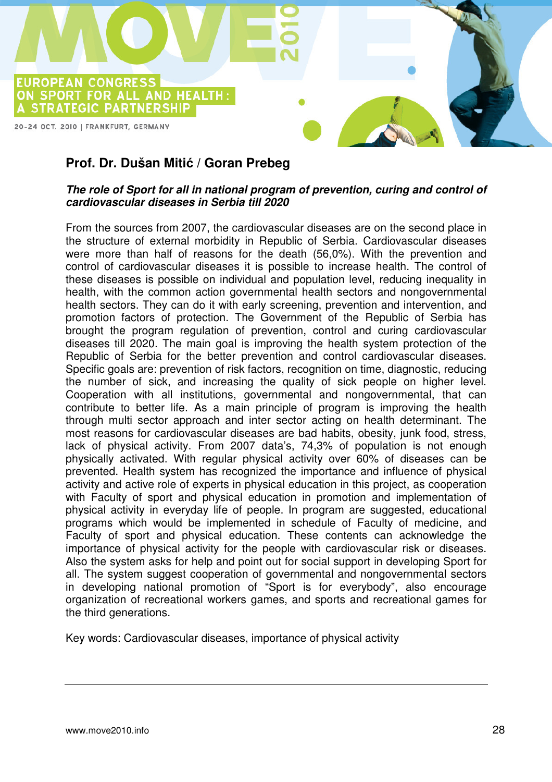

## **Prof. Dr. Dušan Miti**ć **/ Goran Prebeg**

#### **The role of Sport for all in national program of prevention, curing and control of cardiovascular diseases in Serbia till 2020**

From the sources from 2007, the cardiovascular diseases are on the second place in the structure of external morbidity in Republic of Serbia. Cardiovascular diseases were more than half of reasons for the death (56,0%). With the prevention and control of cardiovascular diseases it is possible to increase health. The control of these diseases is possible on individual and population level, reducing inequality in health, with the common action governmental health sectors and nongovernmental health sectors. They can do it with early screening, prevention and intervention, and promotion factors of protection. The Government of the Republic of Serbia has brought the program regulation of prevention, control and curing cardiovascular diseases till 2020. The main goal is improving the health system protection of the Republic of Serbia for the better prevention and control cardiovascular diseases. Specific goals are: prevention of risk factors, recognition on time, diagnostic, reducing the number of sick, and increasing the quality of sick people on higher level. Cooperation with all institutions, governmental and nongovernmental, that can contribute to better life. As a main principle of program is improving the health through multi sector approach and inter sector acting on health determinant. The most reasons for cardiovascular diseases are bad habits, obesity, junk food, stress, lack of physical activity. From 2007 data's, 74,3% of population is not enough physically activated. With regular physical activity over 60% of diseases can be prevented. Health system has recognized the importance and influence of physical activity and active role of experts in physical education in this project, as cooperation with Faculty of sport and physical education in promotion and implementation of physical activity in everyday life of people. In program are suggested, educational programs which would be implemented in schedule of Faculty of medicine, and Faculty of sport and physical education. These contents can acknowledge the importance of physical activity for the people with cardiovascular risk or diseases. Also the system asks for help and point out for social support in developing Sport for all. The system suggest cooperation of governmental and nongovernmental sectors in developing national promotion of "Sport is for everybody", also encourage organization of recreational workers games, and sports and recreational games for the third generations.

Key words: Cardiovascular diseases, importance of physical activity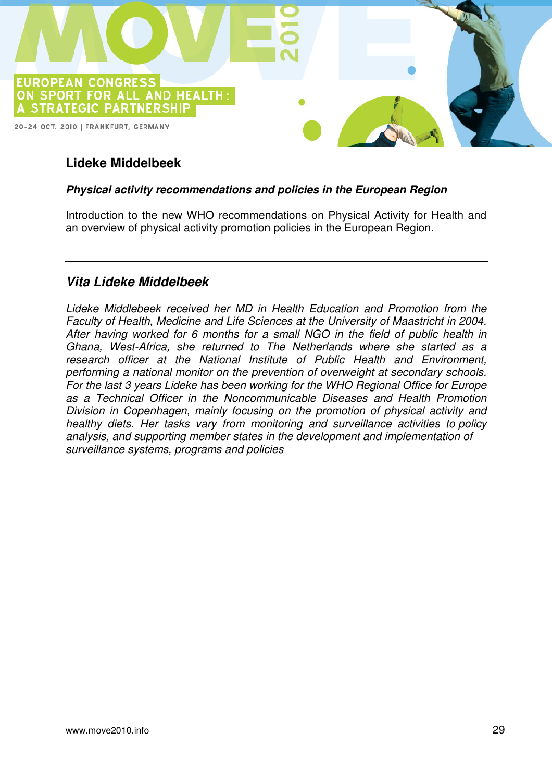

## **Lideke Middelbeek**

#### **Physical activity recommendations and policies in the European Region**

Introduction to the new WHO recommendations on Physical Activity for Health and an overview of physical activity promotion policies in the European Region.

## **Vita Lideke Middelbeek**

Lideke Middlebeek received her MD in Health Education and Promotion from the Faculty of Health, Medicine and Life Sciences at the University of Maastricht in 2004. After having worked for 6 months for a small NGO in the field of public health in Ghana, West-Africa, she returned to The Netherlands where she started as a research officer at the National Institute of Public Health and Environment, performing a national monitor on the prevention of overweight at secondary schools. For the last 3 years Lideke has been working for the WHO Regional Office for Europe as a Technical Officer in the Noncommunicable Diseases and Health Promotion Division in Copenhagen, mainly focusing on the promotion of physical activity and healthy diets. Her tasks vary from monitoring and surveillance activities to policy analysis, and supporting member states in the development and implementation of surveillance systems, programs and policies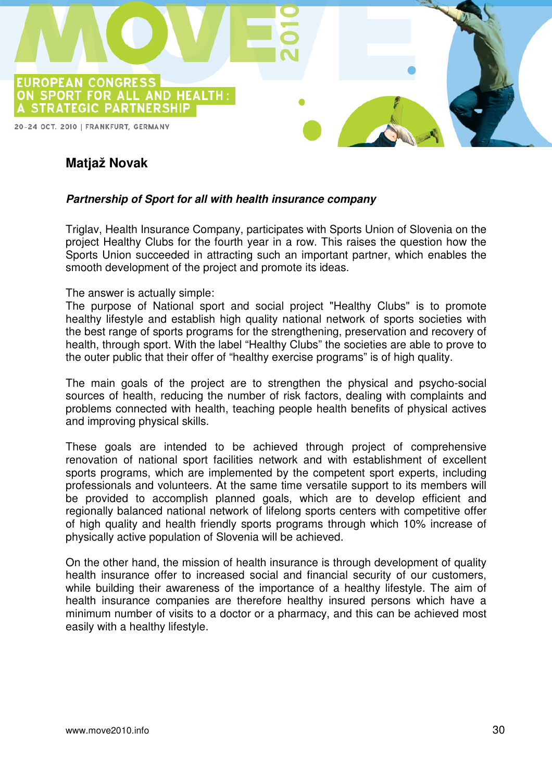

## **Matjaž Novak**

#### **Partnership of Sport for all with health insurance company**

Triglav, Health Insurance Company, participates with Sports Union of Slovenia on the project Healthy Clubs for the fourth year in a row. This raises the question how the Sports Union succeeded in attracting such an important partner, which enables the smooth development of the project and promote its ideas.

#### The answer is actually simple:

The purpose of National sport and social project "Healthy Clubs" is to promote healthy lifestyle and establish high quality national network of sports societies with the best range of sports programs for the strengthening, preservation and recovery of health, through sport. With the label "Healthy Clubs" the societies are able to prove to the outer public that their offer of "healthy exercise programs" is of high quality.

The main goals of the project are to strengthen the physical and psycho-social sources of health, reducing the number of risk factors, dealing with complaints and problems connected with health, teaching people health benefits of physical actives and improving physical skills.

These goals are intended to be achieved through project of comprehensive renovation of national sport facilities network and with establishment of excellent sports programs, which are implemented by the competent sport experts, including professionals and volunteers. At the same time versatile support to its members will be provided to accomplish planned goals, which are to develop efficient and regionally balanced national network of lifelong sports centers with competitive offer of high quality and health friendly sports programs through which 10% increase of physically active population of Slovenia will be achieved.

On the other hand, the mission of health insurance is through development of quality health insurance offer to increased social and financial security of our customers, while building their awareness of the importance of a healthy lifestyle. The aim of health insurance companies are therefore healthy insured persons which have a minimum number of visits to a doctor or a pharmacy, and this can be achieved most easily with a healthy lifestyle.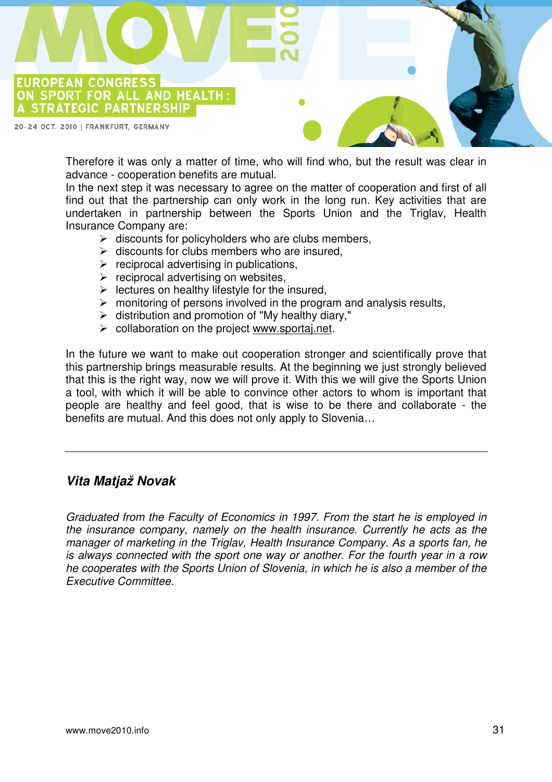

20-24 OCT. 2010 | FRANKFURT, GERMANY

Therefore it was only a matter of time, who will find who, but the result was clear in advance - cooperation benefits are mutual.

In the next step it was necessary to agree on the matter of cooperation and first of all find out that the partnership can only work in the long run. Key activities that are undertaken in partnership between the Sports Union and the Triglav, Health Insurance Company are:

- $\triangleright$  discounts for policyholders who are clubs members,
- $\triangleright$  discounts for clubs members who are insured.
- $\triangleright$  reciprocal advertising in publications,
- $\triangleright$  reciprocal advertising on websites.
- $\triangleright$  lectures on healthy lifestyle for the insured,
- $\triangleright$  monitoring of persons involved in the program and analysis results,
- $\triangleright$  distribution and promotion of "My healthy diary,"
- $\triangleright$  collaboration on the project www.sportaj.net.

In the future we want to make out cooperation stronger and scientifically prove that this partnership brings measurable results. At the beginning we just strongly believed that this is the right way, now we will prove it. With this we will give the Sports Union a tool, with which it will be able to convince other actors to whom is important that people are healthy and feel good, that is wise to be there and collaborate - the benefits are mutual. And this does not only apply to Slovenia…

#### **Vita Matjaž Novak**

Graduated from the Faculty of Economics in 1997. From the start he is employed in the insurance company, namely on the health insurance. Currently he acts as the manager of marketing in the Triglav, Health Insurance Company. As a sports fan, he is always connected with the sport one way or another. For the fourth year in a row he cooperates with the Sports Union of Slovenia, in which he is also a member of the Executive Committee.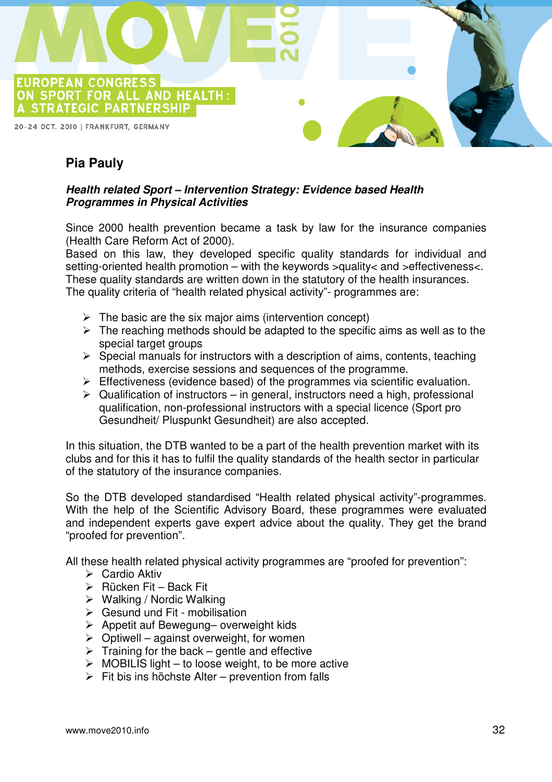

## **Pia Pauly**

#### **Health related Sport – Intervention Strategy: Evidence based Health Programmes in Physical Activities**

Since 2000 health prevention became a task by law for the insurance companies (Health Care Reform Act of 2000).

Based on this law, they developed specific quality standards for individual and setting-oriented health promotion – with the keywords >quality< and >effectiveness<. These quality standards are written down in the statutory of the health insurances. The quality criteria of "health related physical activity"- programmes are:

- $\triangleright$  The basic are the six major aims (intervention concept)
- $\triangleright$  The reaching methods should be adapted to the specific aims as well as to the special target groups
- $\triangleright$  Special manuals for instructors with a description of aims, contents, teaching methods, exercise sessions and sequences of the programme.
- $\triangleright$  Effectiveness (evidence based) of the programmes via scientific evaluation.
- $\triangleright$  Qualification of instructors in general, instructors need a high, professional qualification, non-professional instructors with a special licence (Sport pro Gesundheit/ Pluspunkt Gesundheit) are also accepted.

In this situation, the DTB wanted to be a part of the health prevention market with its clubs and for this it has to fulfil the quality standards of the health sector in particular of the statutory of the insurance companies.

So the DTB developed standardised "Health related physical activity"-programmes. With the help of the Scientific Advisory Board, these programmes were evaluated and independent experts gave expert advice about the quality. They get the brand "proofed for prevention".

All these health related physical activity programmes are "proofed for prevention":

- $\triangleright$  Cardio Aktiv
- $\triangleright$  Rücken Fit Back Fit
- $\triangleright$  Walking / Nordic Walking
- $\triangleright$  Gesund und Fit mobilisation
- $\triangleright$  Appetit auf Bewegung- overweight kids
- $\triangleright$  Optiwell against overweight, for women
- $\triangleright$  Training for the back gentle and effective
- $\triangleright$  MOBILIS light to loose weight, to be more active
- $\triangleright$  Fit bis ins höchste Alter prevention from falls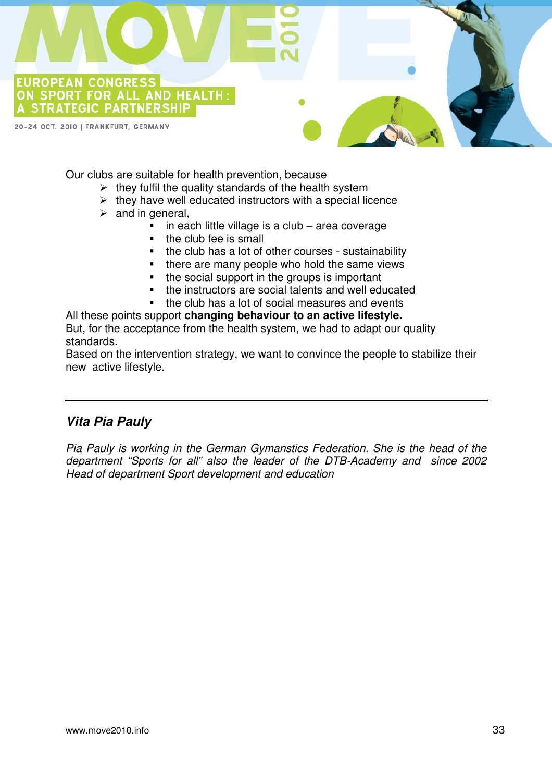

Our clubs are suitable for health prevention, because

- $\triangleright$  they fulfil the quality standards of the health system
- $\triangleright$  they have well educated instructors with a special licence
- $\triangleright$  and in general,
	- in each little village is a club – area coverage
	- the club fee is small
	- the club has a lot of other courses - sustainability
	- there are many people who hold the same views
	- the social support in the groups is important
	- the instructors are social talents and well educated
	- the club has a lot of social measures and events

All these points support **changing behaviour to an active lifestyle.**  But, for the acceptance from the health system, we had to adapt our quality standards.

Based on the intervention strategy, we want to convince the people to stabilize their new active lifestyle.

## **Vita Pia Pauly**

Pia Pauly is working in the German Gymanstics Federation. She is the head of the department "Sports for all" also the leader of the DTB-Academy and since 2002 Head of department Sport development and education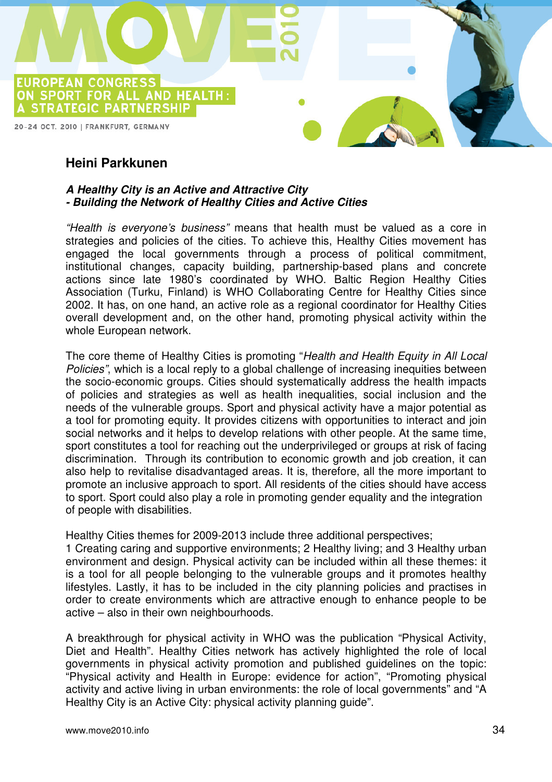

## **Heini Parkkunen**

#### **A Healthy City is an Active and Attractive City - Building the Network of Healthy Cities and Active Cities**

"Health is everyone's business" means that health must be valued as a core in strategies and policies of the cities. To achieve this, Healthy Cities movement has engaged the local governments through a process of political commitment, institutional changes, capacity building, partnership-based plans and concrete actions since late 1980's coordinated by WHO. Baltic Region Healthy Cities Association (Turku, Finland) is WHO Collaborating Centre for Healthy Cities since 2002. It has, on one hand, an active role as a regional coordinator for Healthy Cities overall development and, on the other hand, promoting physical activity within the whole European network.

The core theme of Healthy Cities is promoting "Health and Health Equity in All Local Policies", which is a local reply to a global challenge of increasing inequities between the socio-economic groups. Cities should systematically address the health impacts of policies and strategies as well as health inequalities, social inclusion and the needs of the vulnerable groups. Sport and physical activity have a major potential as a tool for promoting equity. It provides citizens with opportunities to interact and join social networks and it helps to develop relations with other people. At the same time, sport constitutes a tool for reaching out the underprivileged or groups at risk of facing discrimination. Through its contribution to economic growth and job creation, it can also help to revitalise disadvantaged areas. It is, therefore, all the more important to promote an inclusive approach to sport. All residents of the cities should have access to sport. Sport could also play a role in promoting gender equality and the integration of people with disabilities.

Healthy Cities themes for 2009-2013 include three additional perspectives;

1 Creating caring and supportive environments; 2 Healthy living; and 3 Healthy urban environment and design. Physical activity can be included within all these themes: it is a tool for all people belonging to the vulnerable groups and it promotes healthy lifestyles. Lastly, it has to be included in the city planning policies and practises in order to create environments which are attractive enough to enhance people to be active – also in their own neighbourhoods.

A breakthrough for physical activity in WHO was the publication "Physical Activity, Diet and Health". Healthy Cities network has actively highlighted the role of local governments in physical activity promotion and published guidelines on the topic: "Physical activity and Health in Europe: evidence for action", "Promoting physical activity and active living in urban environments: the role of local governments" and "A Healthy City is an Active City: physical activity planning guide".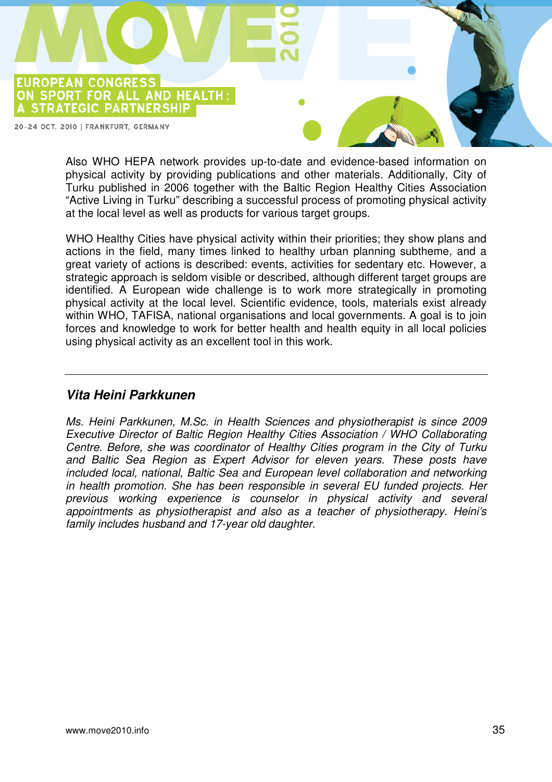

Also WHO HEPA network provides up-to-date and evidence-based information on physical activity by providing publications and other materials. Additionally, City of Turku published in 2006 together with the Baltic Region Healthy Cities Association "Active Living in Turku" describing a successful process of promoting physical activity at the local level as well as products for various target groups.

WHO Healthy Cities have physical activity within their priorities; they show plans and actions in the field, many times linked to healthy urban planning subtheme, and a great variety of actions is described: events, activities for sedentary etc. However, a strategic approach is seldom visible or described, although different target groups are identified. A European wide challenge is to work more strategically in promoting physical activity at the local level. Scientific evidence, tools, materials exist already within WHO, TAFISA, national organisations and local governments. A goal is to join forces and knowledge to work for better health and health equity in all local policies using physical activity as an excellent tool in this work.

## **Vita Heini Parkkunen**

Ms. Heini Parkkunen, M.Sc. in Health Sciences and physiotherapist is since 2009 Executive Director of Baltic Region Healthy Cities Association / WHO Collaborating Centre. Before, she was coordinator of Healthy Cities program in the City of Turku and Baltic Sea Region as Expert Advisor for eleven years. These posts have included local, national, Baltic Sea and European level collaboration and networking in health promotion. She has been responsible in several EU funded projects. Her previous working experience is counselor in physical activity and several appointments as physiotherapist and also as a teacher of physiotherapy. Heini's family includes husband and 17-year old daughter.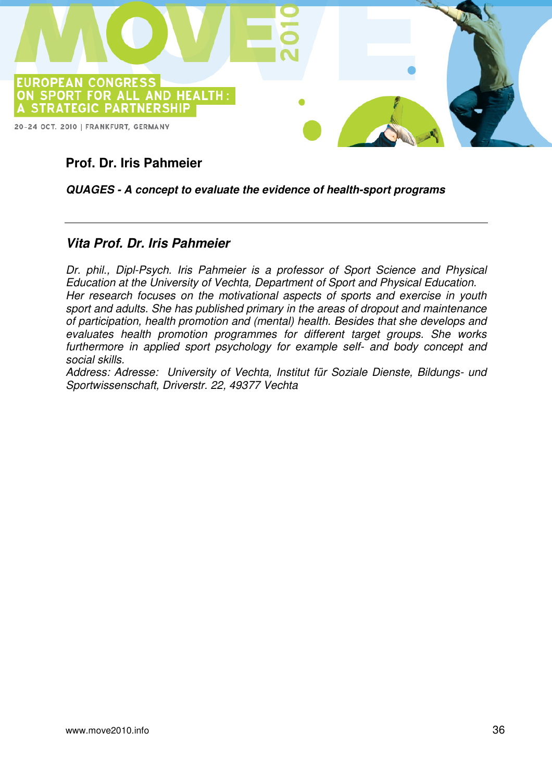

## **Prof. Dr. Iris Pahmeier**

#### **QUAGES - A concept to evaluate the evidence of health-sport programs**

## **Vita Prof. Dr. Iris Pahmeier**

Dr. phil., Dipl-Psych. Iris Pahmeier is a professor of Sport Science and Physical Education at the University of Vechta, Department of Sport and Physical Education. Her research focuses on the motivational aspects of sports and exercise in youth sport and adults. She has published primary in the areas of dropout and maintenance of participation, health promotion and (mental) health. Besides that she develops and evaluates health promotion programmes for different target groups. She works furthermore in applied sport psychology for example self- and body concept and social skills.

Address: Adresse: University of Vechta, Institut für Soziale Dienste, Bildungs- und Sportwissenschaft, Driverstr. 22, 49377 Vechta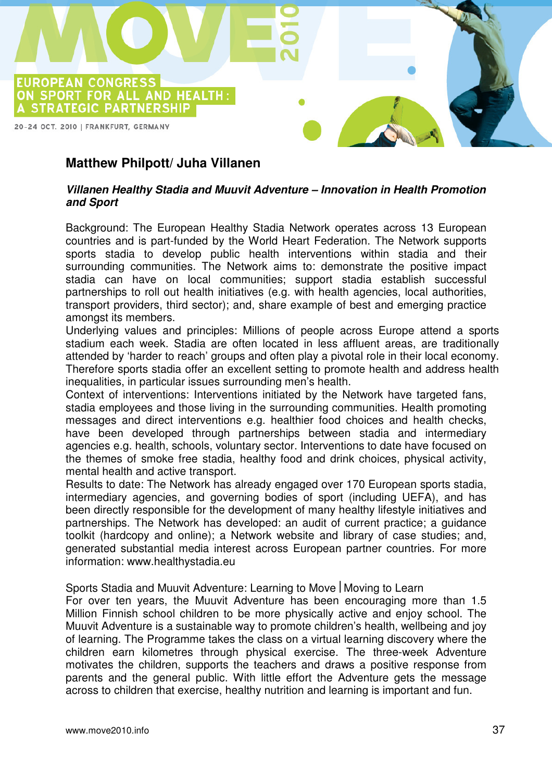

## **Matthew Philpott/ Juha Villanen**

#### **Villanen Healthy Stadia and Muuvit Adventure – Innovation in Health Promotion and Sport**

Background: The European Healthy Stadia Network operates across 13 European countries and is part-funded by the World Heart Federation. The Network supports sports stadia to develop public health interventions within stadia and their surrounding communities. The Network aims to: demonstrate the positive impact stadia can have on local communities; support stadia establish successful partnerships to roll out health initiatives (e.g. with health agencies, local authorities, transport providers, third sector); and, share example of best and emerging practice amongst its members.

Underlying values and principles: Millions of people across Europe attend a sports stadium each week. Stadia are often located in less affluent areas, are traditionally attended by 'harder to reach' groups and often play a pivotal role in their local economy. Therefore sports stadia offer an excellent setting to promote health and address health inequalities, in particular issues surrounding men's health.

Context of interventions: Interventions initiated by the Network have targeted fans, stadia employees and those living in the surrounding communities. Health promoting messages and direct interventions e.g. healthier food choices and health checks, have been developed through partnerships between stadia and intermediary agencies e.g. health, schools, voluntary sector. Interventions to date have focused on the themes of smoke free stadia, healthy food and drink choices, physical activity, mental health and active transport.

Results to date: The Network has already engaged over 170 European sports stadia, intermediary agencies, and governing bodies of sport (including UEFA), and has been directly responsible for the development of many healthy lifestyle initiatives and partnerships. The Network has developed: an audit of current practice; a guidance toolkit (hardcopy and online); a Network website and library of case studies; and, generated substantial media interest across European partner countries. For more information: www.healthystadia.eu

Sports Stadia and Muuvit Adventure: Learning to Move | Moving to Learn

For over ten years, the Muuvit Adventure has been encouraging more than 1.5 Million Finnish school children to be more physically active and enjoy school. The Muuvit Adventure is a sustainable way to promote children's health, wellbeing and joy of learning. The Programme takes the class on a virtual learning discovery where the children earn kilometres through physical exercise. The three-week Adventure motivates the children, supports the teachers and draws a positive response from parents and the general public. With little effort the Adventure gets the message across to children that exercise, healthy nutrition and learning is important and fun.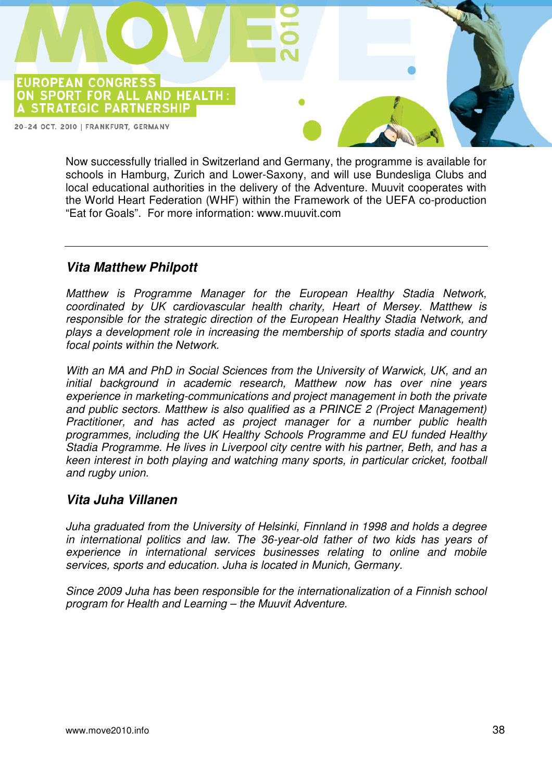20-24 OCT. 2010 | FRANKFURT, GERMANY

A STRATEGIC PARTNERSHIP

ON SPORT FOR ALL AND HEALTH:

EUROPEAN CONGRESS

Now successfully trialled in Switzerland and Germany, the programme is available for schools in Hamburg, Zurich and Lower-Saxony, and will use Bundesliga Clubs and local educational authorities in the delivery of the Adventure. Muuvit cooperates with the World Heart Federation (WHF) within the Framework of the UEFA co-production "Eat for Goals". For more information: www.muuvit.com

## **Vita Matthew Philpott**

Matthew is Programme Manager for the European Healthy Stadia Network, coordinated by UK cardiovascular health charity, Heart of Mersey. Matthew is responsible for the strategic direction of the European Healthy Stadia Network, and plays a development role in increasing the membership of sports stadia and country focal points within the Network.

With an MA and PhD in Social Sciences from the University of Warwick, UK, and an initial background in academic research, Matthew now has over nine years experience in marketing-communications and project management in both the private and public sectors. Matthew is also qualified as a PRINCE 2 (Project Management) Practitioner, and has acted as project manager for a number public health programmes, including the UK Healthy Schools Programme and EU funded Healthy Stadia Programme. He lives in Liverpool city centre with his partner, Beth, and has a keen interest in both playing and watching many sports, in particular cricket, football and rugby union.

#### **Vita Juha Villanen**

Juha graduated from the University of Helsinki, Finnland in 1998 and holds a degree in international politics and law. The 36-year-old father of two kids has years of experience in international services businesses relating to online and mobile services, sports and education. Juha is located in Munich, Germany.

Since 2009 Juha has been responsible for the internationalization of a Finnish school program for Health and Learning – the Muuvit Adventure.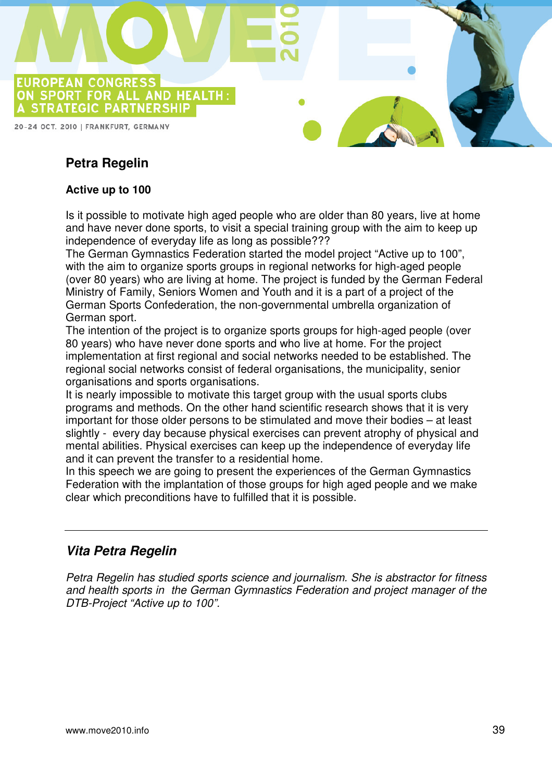

## **Petra Regelin**

#### **Active up to 100**

Is it possible to motivate high aged people who are older than 80 years, live at home and have never done sports, to visit a special training group with the aim to keep up independence of everyday life as long as possible???

The German Gymnastics Federation started the model project "Active up to 100", with the aim to organize sports groups in regional networks for high-aged people (over 80 years) who are living at home. The project is funded by the German Federal Ministry of Family, Seniors Women and Youth and it is a part of a project of the German Sports Confederation, the non-governmental umbrella organization of German sport.

The intention of the project is to organize sports groups for high-aged people (over 80 years) who have never done sports and who live at home. For the project implementation at first regional and social networks needed to be established. The regional social networks consist of federal organisations, the municipality, senior organisations and sports organisations.

It is nearly impossible to motivate this target group with the usual sports clubs programs and methods. On the other hand scientific research shows that it is very important for those older persons to be stimulated and move their bodies – at least slightly - every day because physical exercises can prevent atrophy of physical and mental abilities. Physical exercises can keep up the independence of everyday life and it can prevent the transfer to a residential home.

In this speech we are going to present the experiences of the German Gymnastics Federation with the implantation of those groups for high aged people and we make clear which preconditions have to fulfilled that it is possible.

## **Vita Petra Regelin**

Petra Regelin has studied sports science and journalism. She is abstractor for fitness and health sports in the German Gymnastics Federation and project manager of the DTB-Project "Active up to 100".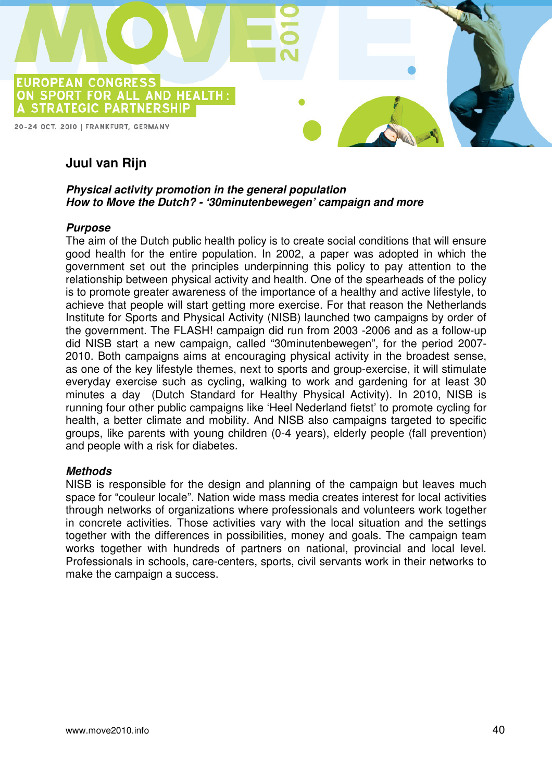

## **Juul van Rijn**

#### **Physical activity promotion in the general population How to Move the Dutch? - '30minutenbewegen' campaign and more**

#### **Purpose**

The aim of the Dutch public health policy is to create social conditions that will ensure good health for the entire population. In 2002, a paper was adopted in which the government set out the principles underpinning this policy to pay attention to the relationship between physical activity and health. One of the spearheads of the policy is to promote greater awareness of the importance of a healthy and active lifestyle, to achieve that people will start getting more exercise. For that reason the Netherlands Institute for Sports and Physical Activity (NISB) launched two campaigns by order of the government. The FLASH! campaign did run from 2003 -2006 and as a follow-up did NISB start a new campaign, called "30minutenbewegen", for the period 2007- 2010. Both campaigns aims at encouraging physical activity in the broadest sense, as one of the key lifestyle themes, next to sports and group-exercise, it will stimulate everyday exercise such as cycling, walking to work and gardening for at least 30 minutes a day (Dutch Standard for Healthy Physical Activity). In 2010, NISB is running four other public campaigns like 'Heel Nederland fietst' to promote cycling for health, a better climate and mobility. And NISB also campaigns targeted to specific groups, like parents with young children (0-4 years), elderly people (fall prevention) and people with a risk for diabetes.

#### **Methods**

NISB is responsible for the design and planning of the campaign but leaves much space for "couleur locale". Nation wide mass media creates interest for local activities through networks of organizations where professionals and volunteers work together in concrete activities. Those activities vary with the local situation and the settings together with the differences in possibilities, money and goals. The campaign team works together with hundreds of partners on national, provincial and local level. Professionals in schools, care-centers, sports, civil servants work in their networks to make the campaign a success.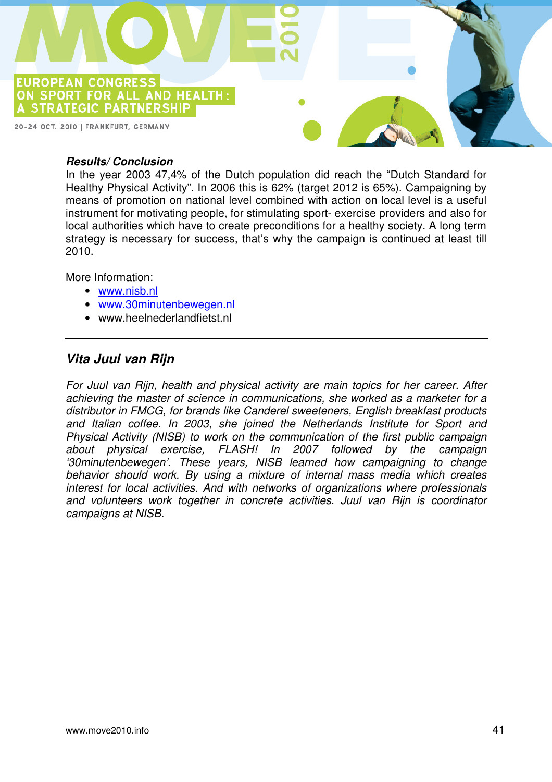

#### **Results/ Conclusion**

In the year 2003 47,4% of the Dutch population did reach the "Dutch Standard for Healthy Physical Activity". In 2006 this is 62% (target 2012 is 65%). Campaigning by means of promotion on national level combined with action on local level is a useful instrument for motivating people, for stimulating sport- exercise providers and also for local authorities which have to create preconditions for a healthy society. A long term strategy is necessary for success, that's why the campaign is continued at least till 2010.

More Information:

- www.nisb.nl
- www.30minutenbewegen.nl
- www.heelnederlandfietst.nl

#### **Vita Juul van Rijn**

For Juul van Rijn, health and physical activity are main topics for her career. After achieving the master of science in communications, she worked as a marketer for a distributor in FMCG, for brands like Canderel sweeteners, English breakfast products and Italian coffee. In 2003, she joined the Netherlands Institute for Sport and Physical Activity (NISB) to work on the communication of the first public campaign about physical exercise, FLASH! In 2007 followed by the campaign '30minutenbewegen'. These years, NISB learned how campaigning to change behavior should work. By using a mixture of internal mass media which creates interest for local activities. And with networks of organizations where professionals and volunteers work together in concrete activities. Juul van Rijn is coordinator campaigns at NISB.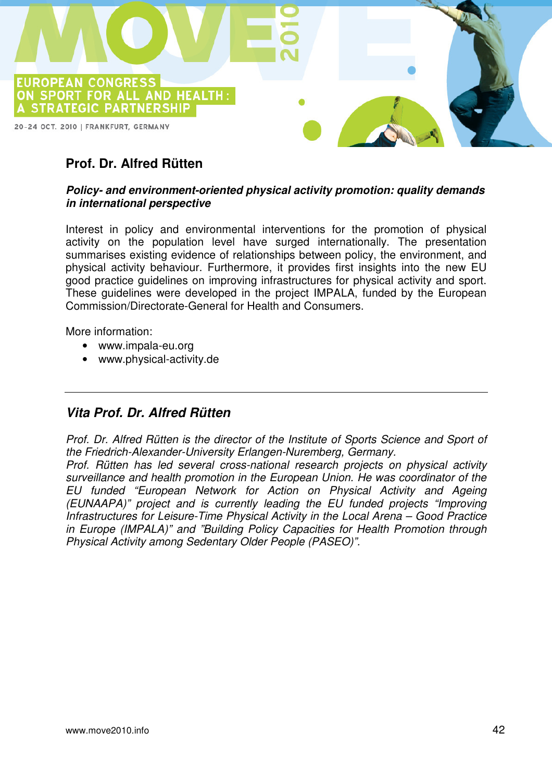

## **Prof. Dr. Alfred Rütten**

#### **Policy- and environment-oriented physical activity promotion: quality demands in international perspective**

Interest in policy and environmental interventions for the promotion of physical activity on the population level have surged internationally. The presentation summarises existing evidence of relationships between policy, the environment, and physical activity behaviour. Furthermore, it provides first insights into the new EU good practice guidelines on improving infrastructures for physical activity and sport. These guidelines were developed in the project IMPALA, funded by the European Commission/Directorate-General for Health and Consumers.

More information:

- www.impala-eu.org
- www.physical-activity.de

## **Vita Prof. Dr. Alfred Rütten**

Prof. Dr. Alfred Rütten is the director of the Institute of Sports Science and Sport of the Friedrich-Alexander-University Erlangen-Nuremberg, Germany.

Prof. Rütten has led several cross-national research projects on physical activity surveillance and health promotion in the European Union. He was coordinator of the EU funded "European Network for Action on Physical Activity and Ageing (EUNAAPA)" project and is currently leading the EU funded projects "Improving Infrastructures for Leisure-Time Physical Activity in the Local Arena – Good Practice in Europe (IMPALA)" and "Building Policy Capacities for Health Promotion through Physical Activity among Sedentary Older People (PASEO)".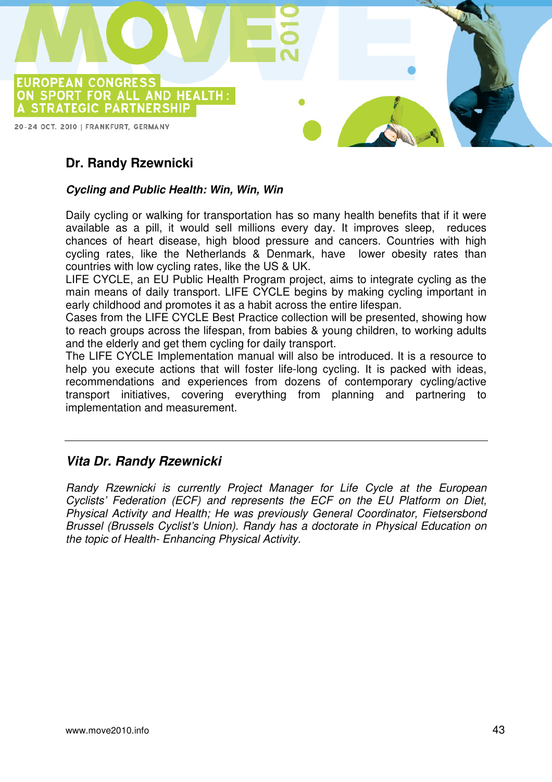

## **Dr. Randy Rzewnicki**

#### **Cycling and Public Health: Win, Win, Win**

Daily cycling or walking for transportation has so many health benefits that if it were available as a pill, it would sell millions every day. It improves sleep, reduces chances of heart disease, high blood pressure and cancers. Countries with high cycling rates, like the Netherlands & Denmark, have lower obesity rates than countries with low cycling rates, like the US & UK.

LIFE CYCLE, an EU Public Health Program project, aims to integrate cycling as the main means of daily transport. LIFE CYCLE begins by making cycling important in early childhood and promotes it as a habit across the entire lifespan.

Cases from the LIFE CYCLE Best Practice collection will be presented, showing how to reach groups across the lifespan, from babies & young children, to working adults and the elderly and get them cycling for daily transport.

The LIFE CYCLE Implementation manual will also be introduced. It is a resource to help you execute actions that will foster life-long cycling. It is packed with ideas, recommendations and experiences from dozens of contemporary cycling/active transport initiatives, covering everything from planning and partnering to implementation and measurement.

#### **Vita Dr. Randy Rzewnicki**

Randy Rzewnicki is currently Project Manager for Life Cycle at the European Cyclists' Federation (ECF) and represents the ECF on the EU Platform on Diet, Physical Activity and Health; He was previously General Coordinator, Fietsersbond Brussel (Brussels Cyclist's Union). Randy has a doctorate in Physical Education on the topic of Health- Enhancing Physical Activity.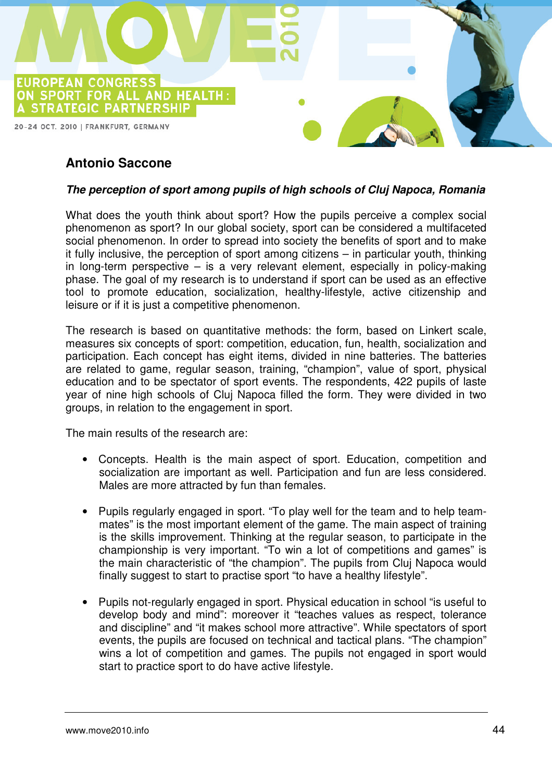

## **Antonio Saccone**

#### **The perception of sport among pupils of high schools of Cluj Napoca, Romania**

What does the youth think about sport? How the pupils perceive a complex social phenomenon as sport? In our global society, sport can be considered a multifaceted social phenomenon. In order to spread into society the benefits of sport and to make it fully inclusive, the perception of sport among citizens – in particular youth, thinking in long-term perspective – is a very relevant element, especially in policy-making phase. The goal of my research is to understand if sport can be used as an effective tool to promote education, socialization, healthy-lifestyle, active citizenship and leisure or if it is just a competitive phenomenon.

The research is based on quantitative methods: the form, based on Linkert scale, measures six concepts of sport: competition, education, fun, health, socialization and participation. Each concept has eight items, divided in nine batteries. The batteries are related to game, regular season, training, "champion", value of sport, physical education and to be spectator of sport events. The respondents, 422 pupils of laste year of nine high schools of Cluj Napoca filled the form. They were divided in two groups, in relation to the engagement in sport.

The main results of the research are:

- Concepts. Health is the main aspect of sport. Education, competition and socialization are important as well. Participation and fun are less considered. Males are more attracted by fun than females.
- Pupils regularly engaged in sport. "To play well for the team and to help teammates" is the most important element of the game. The main aspect of training is the skills improvement. Thinking at the regular season, to participate in the championship is very important. "To win a lot of competitions and games" is the main characteristic of "the champion". The pupils from Cluj Napoca would finally suggest to start to practise sport "to have a healthy lifestyle".
- Pupils not-regularly engaged in sport. Physical education in school "is useful to develop body and mind": moreover it "teaches values as respect, tolerance and discipline" and "it makes school more attractive". While spectators of sport events, the pupils are focused on technical and tactical plans. "The champion" wins a lot of competition and games. The pupils not engaged in sport would start to practice sport to do have active lifestyle.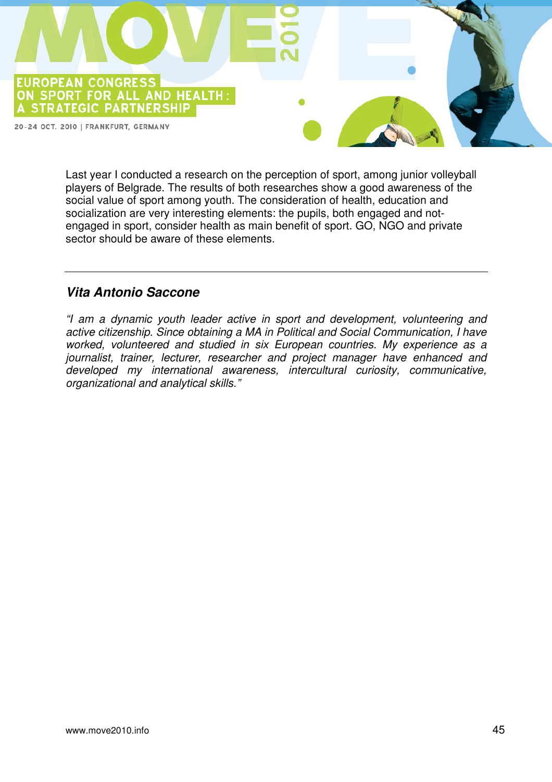

Last year I conducted a research on the perception of sport, among junior volleyball players of Belgrade. The results of both researches show a good awareness of the social value of sport among youth. The consideration of health, education and socialization are very interesting elements: the pupils, both engaged and notengaged in sport, consider health as main benefit of sport. GO, NGO and private sector should be aware of these elements.

## **Vita Antonio Saccone**

"I am a dynamic youth leader active in sport and development, volunteering and active citizenship. Since obtaining a MA in Political and Social Communication, I have worked, volunteered and studied in six European countries. My experience as a journalist, trainer, lecturer, researcher and project manager have enhanced and developed my international awareness, intercultural curiosity, communicative, organizational and analytical skills."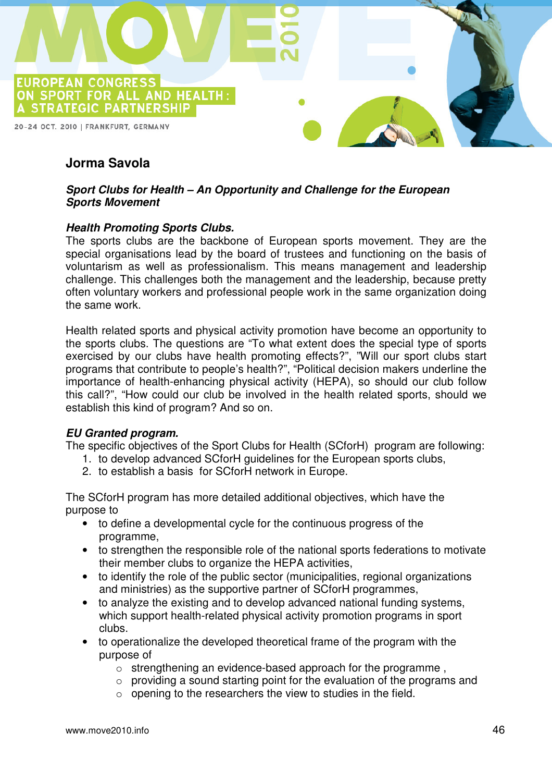

## **Jorma Savola**

#### **Sport Clubs for Health – An Opportunity and Challenge for the European Sports Movement**

#### **Health Promoting Sports Clubs.**

The sports clubs are the backbone of European sports movement. They are the special organisations lead by the board of trustees and functioning on the basis of voluntarism as well as professionalism. This means management and leadership challenge. This challenges both the management and the leadership, because pretty often voluntary workers and professional people work in the same organization doing the same work.

Health related sports and physical activity promotion have become an opportunity to the sports clubs. The questions are "To what extent does the special type of sports exercised by our clubs have health promoting effects?", "Will our sport clubs start programs that contribute to people's health?", "Political decision makers underline the importance of health-enhancing physical activity (HEPA), so should our club follow this call?", "How could our club be involved in the health related sports, should we establish this kind of program? And so on.

#### **EU Granted program.**

The specific objectives of the Sport Clubs for Health (SCforH) program are following:

- 1. to develop advanced SCforH guidelines for the European sports clubs,
- 2. to establish a basis for SCforH network in Europe.

The SCforH program has more detailed additional objectives, which have the purpose to

- to define a developmental cycle for the continuous progress of the programme,
- to strengthen the responsible role of the national sports federations to motivate their member clubs to organize the HEPA activities,
- to identify the role of the public sector (municipalities, regional organizations and ministries) as the supportive partner of SCforH programmes,
- to analyze the existing and to develop advanced national funding systems, which support health-related physical activity promotion programs in sport clubs.
- to operationalize the developed theoretical frame of the program with the purpose of
	- o strengthening an evidence-based approach for the programme ,
	- $\circ$  providing a sound starting point for the evaluation of the programs and
	- $\circ$  opening to the researchers the view to studies in the field.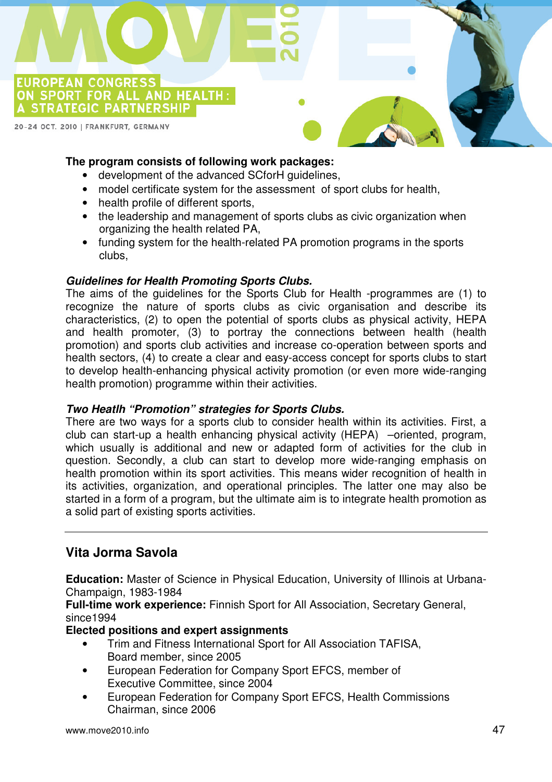

#### **The program consists of following work packages:**

- development of the advanced SCforH guidelines,
- model certificate system for the assessment of sport clubs for health,
- health profile of different sports,
- the leadership and management of sports clubs as civic organization when organizing the health related PA,
- funding system for the health-related PA promotion programs in the sports clubs,

#### **Guidelines for Health Promoting Sports Clubs.**

The aims of the guidelines for the Sports Club for Health -programmes are (1) to recognize the nature of sports clubs as civic organisation and describe its characteristics, (2) to open the potential of sports clubs as physical activity, HEPA and health promoter, (3) to portray the connections between health (health promotion) and sports club activities and increase co-operation between sports and health sectors, (4) to create a clear and easy-access concept for sports clubs to start to develop health-enhancing physical activity promotion (or even more wide-ranging health promotion) programme within their activities.

#### **Two Heatlh "Promotion" strategies for Sports Clubs.**

There are two ways for a sports club to consider health within its activities. First, a club can start-up a health enhancing physical activity (HEPA) –oriented, program, which usually is additional and new or adapted form of activities for the club in question. Secondly, a club can start to develop more wide-ranging emphasis on health promotion within its sport activities. This means wider recognition of health in its activities, organization, and operational principles. The latter one may also be started in a form of a program, but the ultimate aim is to integrate health promotion as a solid part of existing sports activities.

#### **Vita Jorma Savola**

**Education:** Master of Science in Physical Education, University of Illinois at Urbana-Champaign, 1983-1984

**Full-time work experience:** Finnish Sport for All Association, Secretary General, since1994

#### **Elected positions and expert assignments**

- Trim and Fitness International Sport for All Association TAFISA, Board member, since 2005
- European Federation for Company Sport EFCS, member of Executive Committee, since 2004
- European Federation for Company Sport EFCS, Health Commissions Chairman, since 2006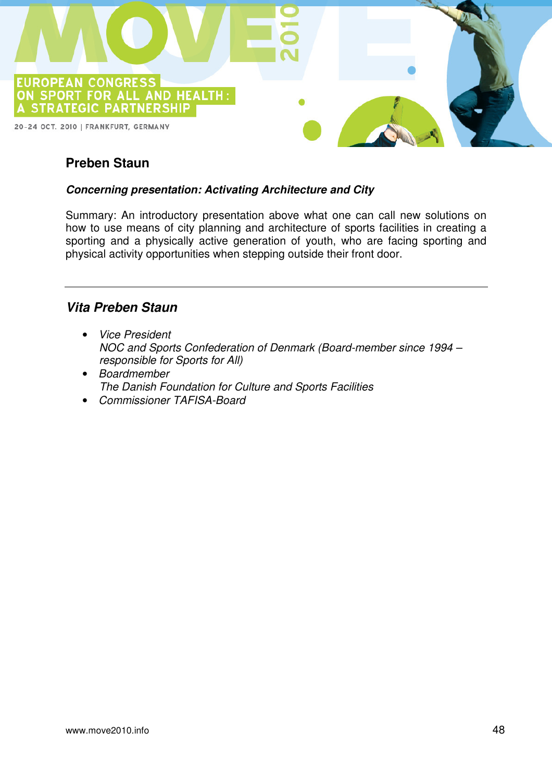

## **Preben Staun**

#### **Concerning presentation: Activating Architecture and City**

Summary: An introductory presentation above what one can call new solutions on how to use means of city planning and architecture of sports facilities in creating a sporting and a physically active generation of youth, who are facing sporting and physical activity opportunities when stepping outside their front door.

#### **Vita Preben Staun**

- Vice President NOC and Sports Confederation of Denmark (Board-member since 1994 – responsible for Sports for All)
- Boardmember The Danish Foundation for Culture and Sports Facilities
- Commissioner TAFISA-Board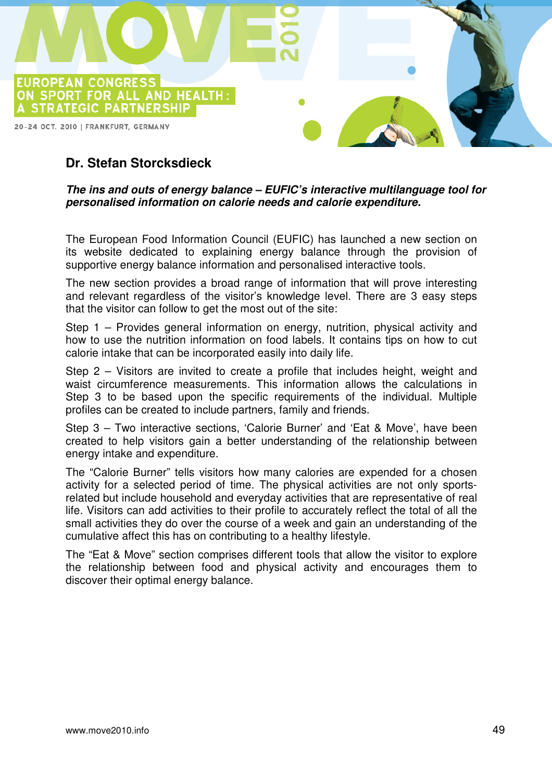

## **Dr. Stefan Storcksdieck**

#### **The ins and outs of energy balance – EUFIC's interactive multilanguage tool for personalised information on calorie needs and calorie expenditure.**

The European Food Information Council (EUFIC) has launched a new section on its website dedicated to explaining energy balance through the provision of supportive energy balance information and personalised interactive tools.

The new section provides a broad range of information that will prove interesting and relevant regardless of the visitor's knowledge level. There are 3 easy steps that the visitor can follow to get the most out of the site:

Step 1 – Provides general information on energy, nutrition, physical activity and how to use the nutrition information on food labels. It contains tips on how to cut calorie intake that can be incorporated easily into daily life.

Step 2 – Visitors are invited to create a profile that includes height, weight and waist circumference measurements. This information allows the calculations in Step 3 to be based upon the specific requirements of the individual. Multiple profiles can be created to include partners, family and friends.

Step 3 – Two interactive sections, 'Calorie Burner' and 'Eat & Move', have been created to help visitors gain a better understanding of the relationship between energy intake and expenditure.

The "Calorie Burner" tells visitors how many calories are expended for a chosen activity for a selected period of time. The physical activities are not only sportsrelated but include household and everyday activities that are representative of real life. Visitors can add activities to their profile to accurately reflect the total of all the small activities they do over the course of a week and gain an understanding of the cumulative affect this has on contributing to a healthy lifestyle.

The "Eat & Move" section comprises different tools that allow the visitor to explore the relationship between food and physical activity and encourages them to discover their optimal energy balance.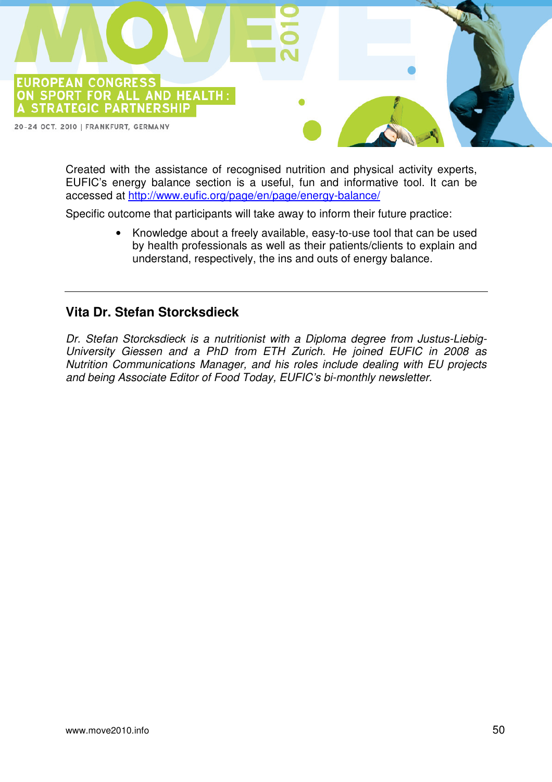

Created with the assistance of recognised nutrition and physical activity experts, EUFIC's energy balance section is a useful, fun and informative tool. It can be accessed at http://www.eufic.org/page/en/page/energy-balance/

Specific outcome that participants will take away to inform their future practice:

• Knowledge about a freely available, easy-to-use tool that can be used by health professionals as well as their patients/clients to explain and understand, respectively, the ins and outs of energy balance.

#### **Vita Dr. Stefan Storcksdieck**

Dr. Stefan Storcksdieck is a nutritionist with a Diploma degree from Justus-Liebig-University Giessen and a PhD from ETH Zurich. He joined EUFIC in 2008 as Nutrition Communications Manager, and his roles include dealing with EU projects and being Associate Editor of Food Today, EUFIC's bi-monthly newsletter.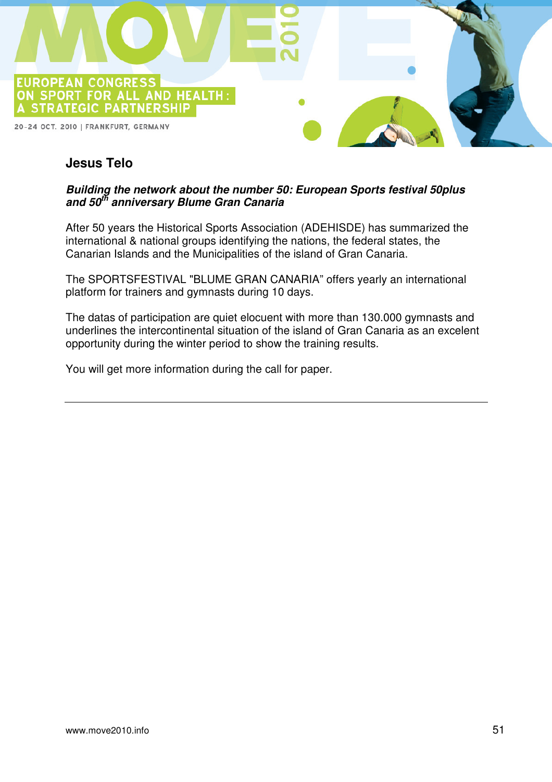

## **Jesus Telo**

#### **Building the network about the number 50: European Sports festival 50plus and 50th anniversary Blume Gran Canaria**

After 50 years the Historical Sports Association (ADEHISDE) has summarized the international & national groups identifying the nations, the federal states, the Canarian Islands and the Municipalities of the island of Gran Canaria.

The SPORTSFESTIVAL "BLUME GRAN CANARIA" offers yearly an international platform for trainers and gymnasts during 10 days.

The datas of participation are quiet elocuent with more than 130.000 gymnasts and underlines the intercontinental situation of the island of Gran Canaria as an excelent opportunity during the winter period to show the training results.

You will get more information during the call for paper.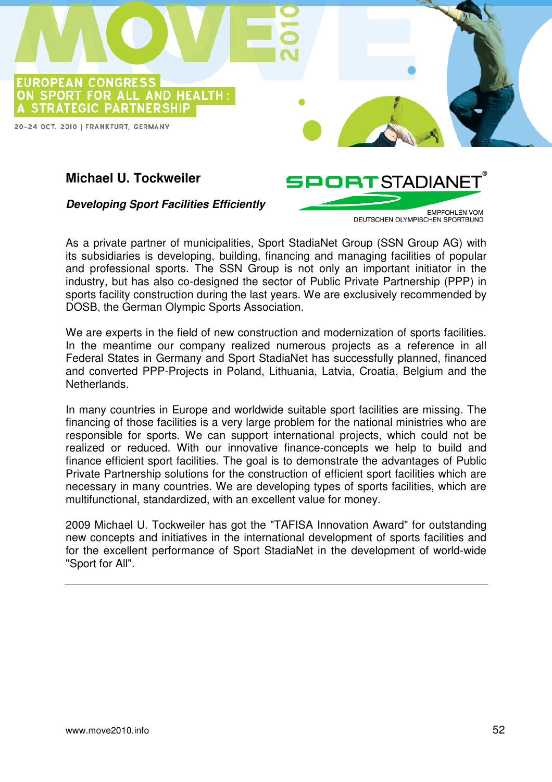

## **Michael U. Tockweiler**

**Developing Sport Facilities Efficiently** 

**EMPEOHLEN VOM** DEUTSCHEN OLYMPISCHEN SPORTBUND

**SPORTSTADIANE** 

As a private partner of municipalities, Sport StadiaNet Group (SSN Group AG) with its subsidiaries is developing, building, financing and managing facilities of popular and professional sports. The SSN Group is not only an important initiator in the industry, but has also co-designed the sector of Public Private Partnership (PPP) in sports facility construction during the last years. We are exclusively recommended by DOSB, the German Olympic Sports Association.

We are experts in the field of new construction and modernization of sports facilities. In the meantime our company realized numerous projects as a reference in all Federal States in Germany and Sport StadiaNet has successfully planned, financed and converted PPP-Projects in Poland, Lithuania, Latvia, Croatia, Belgium and the Netherlands.

In many countries in Europe and worldwide suitable sport facilities are missing. The financing of those facilities is a very large problem for the national ministries who are responsible for sports. We can support international projects, which could not be realized or reduced. With our innovative finance-concepts we help to build and finance efficient sport facilities. The goal is to demonstrate the advantages of Public Private Partnership solutions for the construction of efficient sport facilities which are necessary in many countries. We are developing types of sports facilities, which are multifunctional, standardized, with an excellent value for money.

2009 Michael U. Tockweiler has got the "TAFISA Innovation Award" for outstanding new concepts and initiatives in the international development of sports facilities and for the excellent performance of Sport StadiaNet in the development of world-wide "Sport for All".